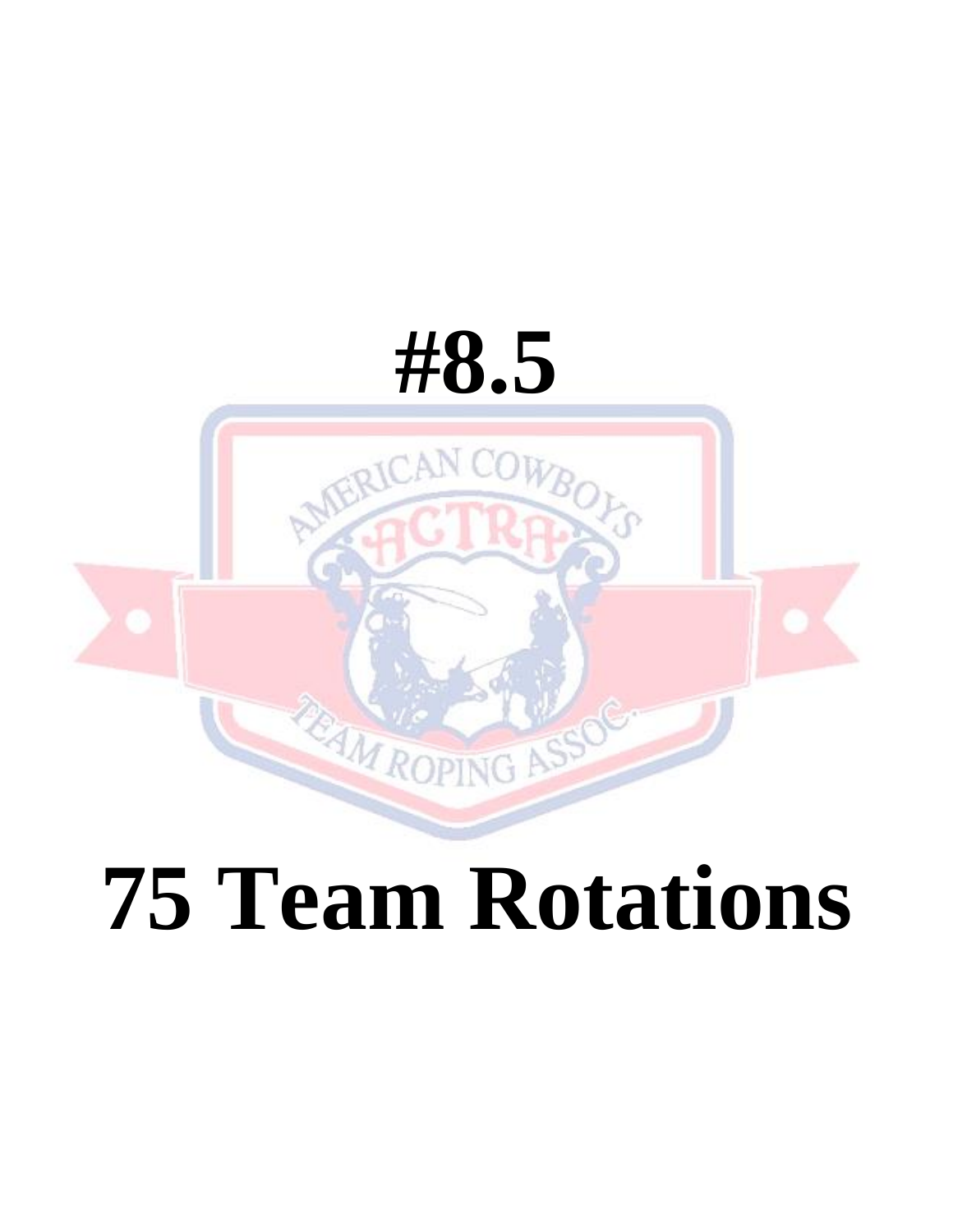

# **75 Team Rotations**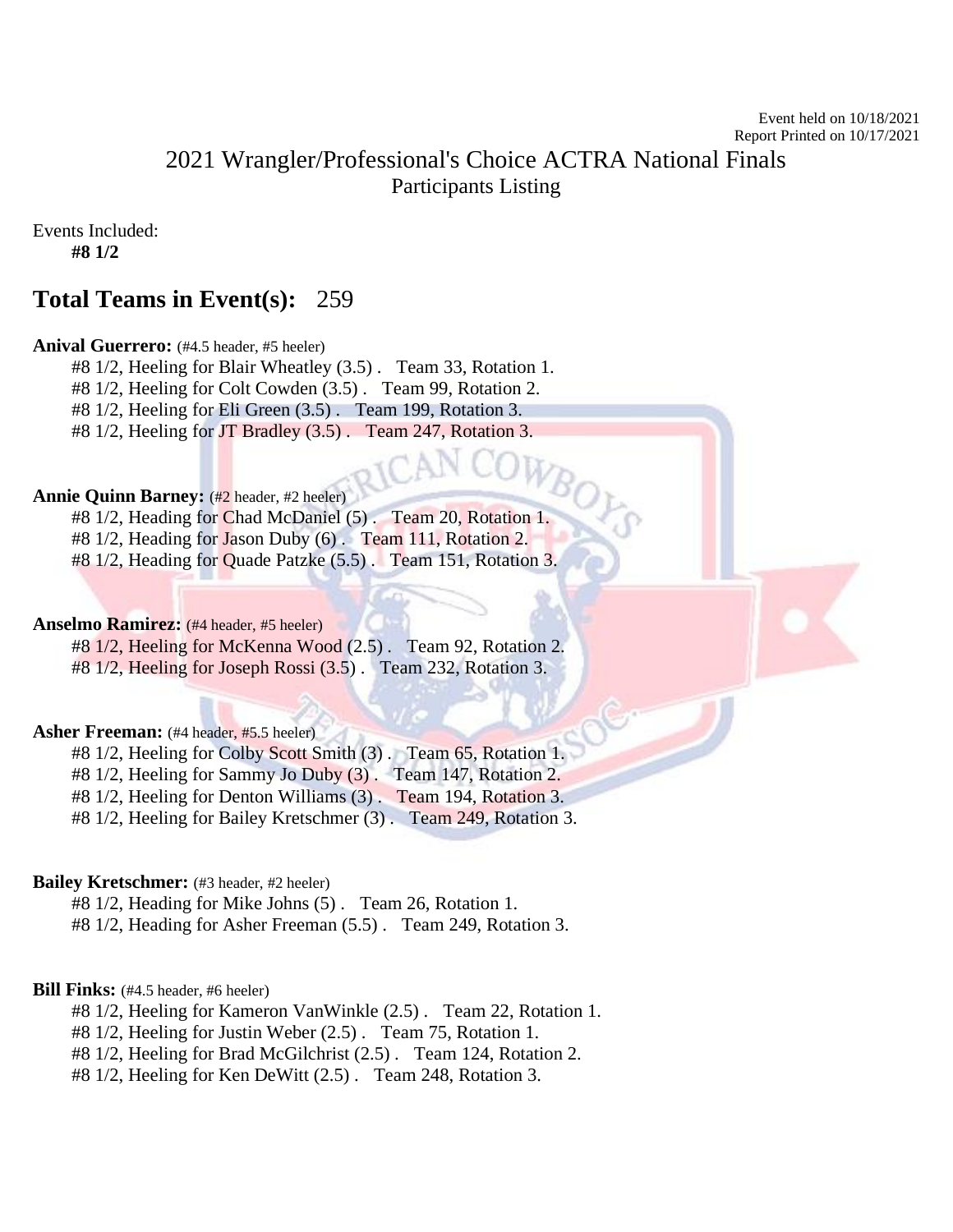# 2021 Wrangler/Professional's Choice ACTRA National Finals Participants Listing

Events Included:

**#8 1/2**

# **Total Teams in Event(s):** 259

#### Anival Guerrero: (#4.5 header, #5 heeler)

#8 1/2, Heeling for Blair Wheatley (3.5) . Team 33, Rotation 1.

#8 1/2, Heeling for Colt Cowden (3.5) . Team 99, Rotation 2.

#8 1/2, Heeling for Eli Green (3.5) . Team 199, Rotation 3.

#8 1/2, Heeling for JT Bradley (3.5). Team 247, Rotation 3.

#### **Annie Quinn Barney:** (#2 header, #2 heeler)

#8 1/2, Heading for Chad McDaniel (5) . Team 20, Rotation 1.

#8 1/2, Heading for Jason Duby (6) . Team 111, Rotation 2.

#8 1/2, Heading for Quade Patzke (5.5) . Team 151, Rotation 3.

#### **Anselmo Ramirez:** (#4 header, #5 heeler)

#8 1/2, Heeling for McKenna Wood (2.5) . Team 92, Rotation 2.

#8 1/2, Heeling for Joseph Rossi (3.5) . Team 232, Rotation 3.

#### **Asher Freeman:** (#4 header, #5.5 heeler)

#8 1/2, Heeling for Colby Scott Smith (3) . Team 65, Rotation 1.

#8 1/2, Heeling for Sammy Jo Duby (3) . Team 147, Rotation 2.

#8 1/2, Heeling for Denton Williams (3) . Team 194, Rotation 3.

#8 1/2, Heeling for Bailey Kretschmer (3) . Team 249, Rotation 3.

#### **Bailey Kretschmer:** (#3 header, #2 heeler)

#8 1/2, Heading for Mike Johns (5) . Team 26, Rotation 1.

#8 1/2, Heading for Asher Freeman (5.5) . Team 249, Rotation 3.

#### **Bill Finks:** (#4.5 header, #6 heeler)

#8 1/2, Heeling for Kameron VanWinkle (2.5) . Team 22, Rotation 1.

#8 1/2, Heeling for Justin Weber (2.5) . Team 75, Rotation 1.

#8 1/2, Heeling for Brad McGilchrist (2.5) . Team 124, Rotation 2.

#8 1/2, Heeling for Ken DeWitt (2.5) . Team 248, Rotation 3.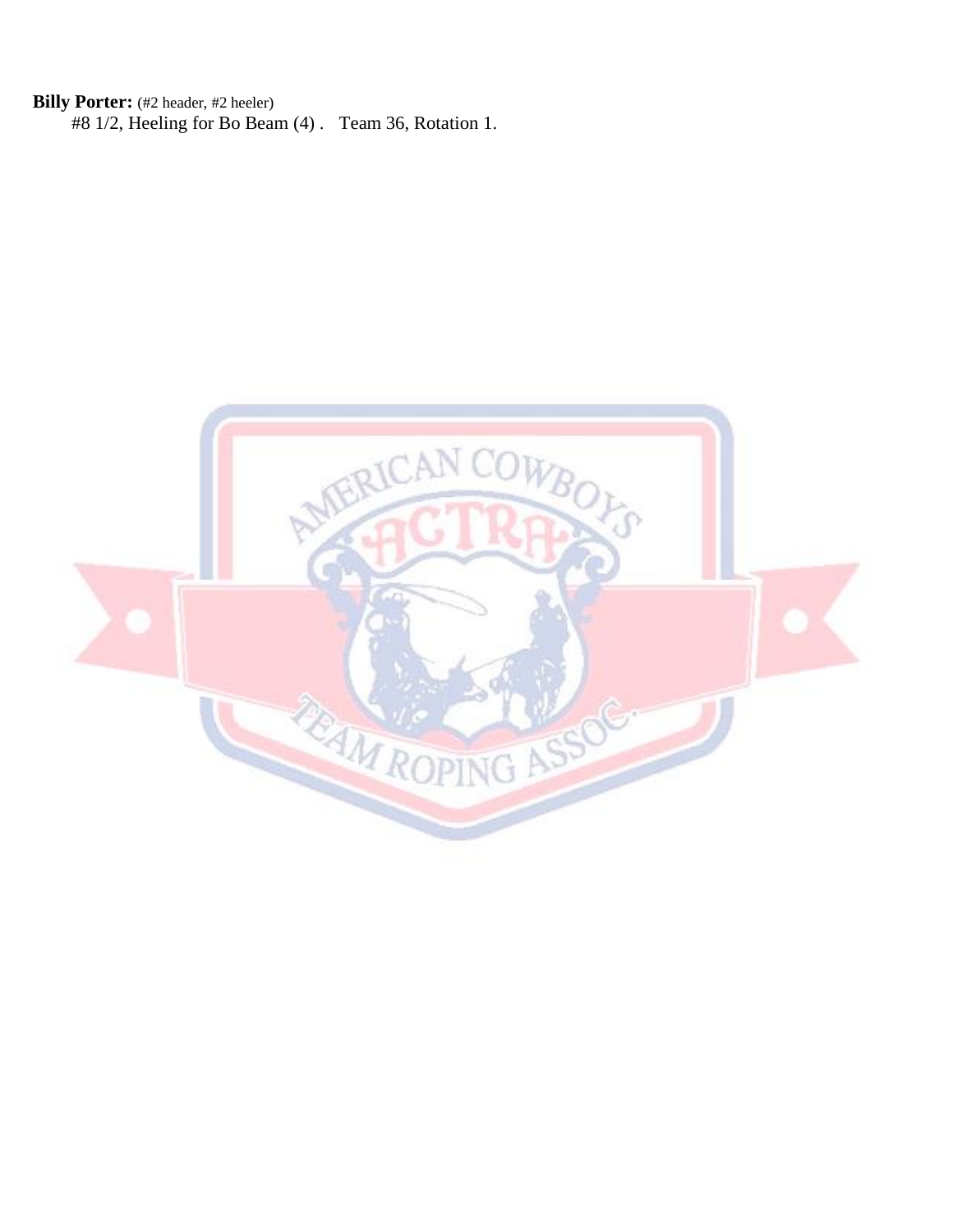**Billy Porter:** (#2 header, #2 heeler) #8 1/2, Heeling for Bo Beam (4) . Team 36, Rotation 1.

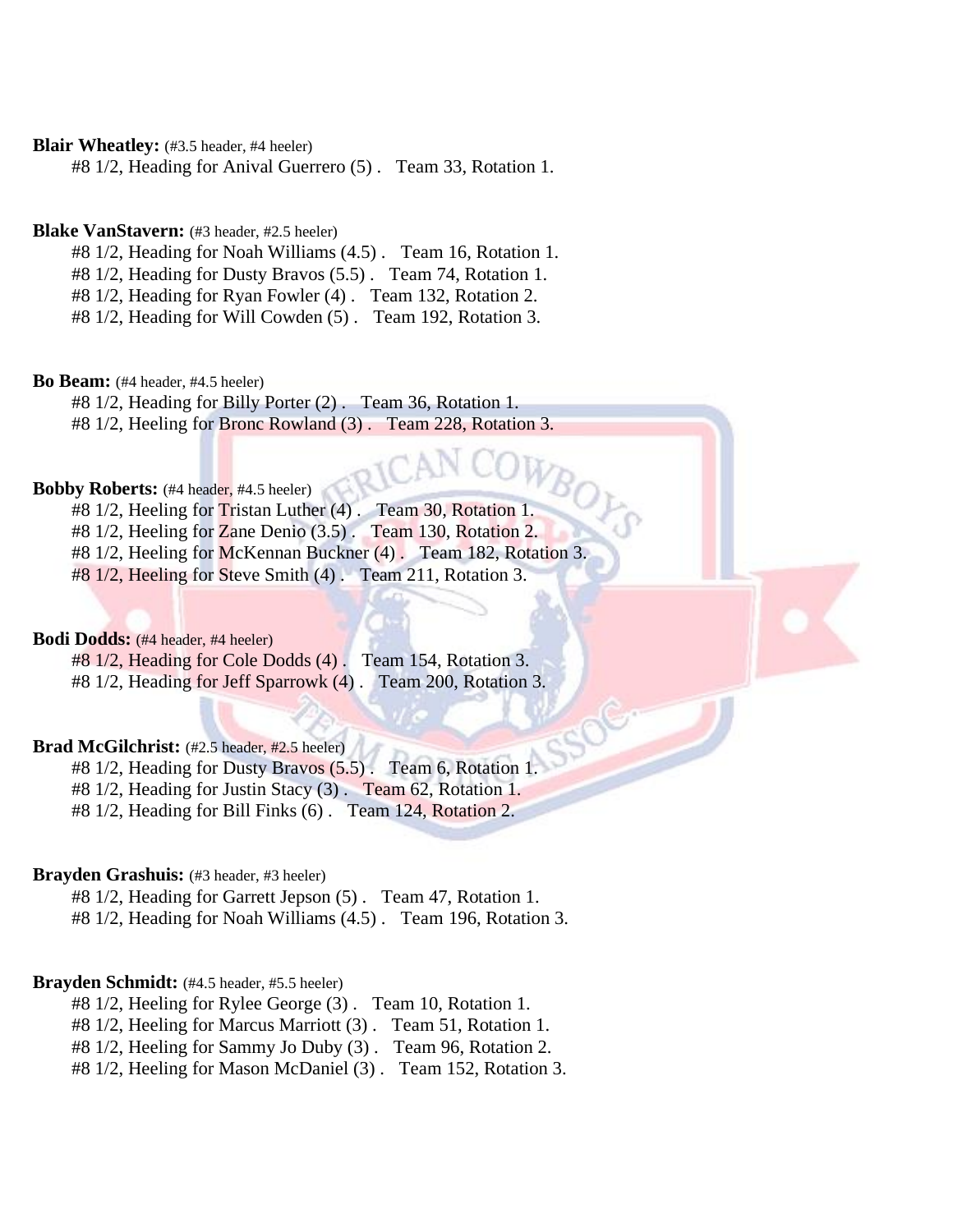#### **Blair Wheatley:** (#3.5 header, #4 heeler)

#8 1/2, Heading for Anival Guerrero (5) . Team 33, Rotation 1.

#### **Blake VanStavern:** (#3 header, #2.5 heeler)

#8 1/2, Heading for Noah Williams (4.5) . Team 16, Rotation 1.

#8 1/2, Heading for Dusty Bravos (5.5) . Team 74, Rotation 1.

#8 1/2, Heading for Ryan Fowler (4) . Team 132, Rotation 2.

#8 1/2, Heading for Will Cowden (5) . Team 192, Rotation 3.

#### **Bo Beam:** (#4 header, #4.5 heeler)

#8 1/2, Heading for Billy Porter (2) . Team 36, Rotation 1. #8 1/2, Heeling for Bronc Rowland (3) . Team 228, Rotation 3.

# **Bobby Roberts:** (#4 header, #4.5 heeler)

#8 1/2, Heeling for Tristan Luther (4) . Team 30, Rotation 1. #8 1/2, Heeling for Zane Denio (3.5) . Team 130, Rotation 2. #8 1/2, Heeling for McKennan Buckner (4) . Team 182, Rotation 3. #8 1/2, Heeling for Steve Smith (4) . Team 211, Rotation 3.

#### **Bodi Dodds:** (#4 header, #4 heeler)

#8 1/2, Heading for Cole Dodds (4) . Team 154, Rotation 3. #8 1/2, Heading for Jeff Sparrowk (4) . Team 200, Rotation 3.

#### Brad McGilchrist: (#2.5 header, #2.5 heeler)

#8 1/2, Heading for Dusty Bravos (5.5) . Team 6, Rotation 1. #8 1/2, Heading for Justin Stacy (3) . Team 62, Rotation 1.

#8 1/2, Heading for Bill Finks (6) . Team 124, Rotation 2.

#### **Brayden Grashuis:** (#3 header, #3 heeler)

#8 1/2, Heading for Garrett Jepson (5) . Team 47, Rotation 1.

#8 1/2, Heading for Noah Williams (4.5) . Team 196, Rotation 3.

#### **Brayden Schmidt:** (#4.5 header, #5.5 heeler)

#8 1/2, Heeling for Rylee George (3) . Team 10, Rotation 1.

#8 1/2, Heeling for Marcus Marriott (3) . Team 51, Rotation 1.

#8 1/2, Heeling for Sammy Jo Duby (3) . Team 96, Rotation 2.

#8 1/2, Heeling for Mason McDaniel (3) . Team 152, Rotation 3.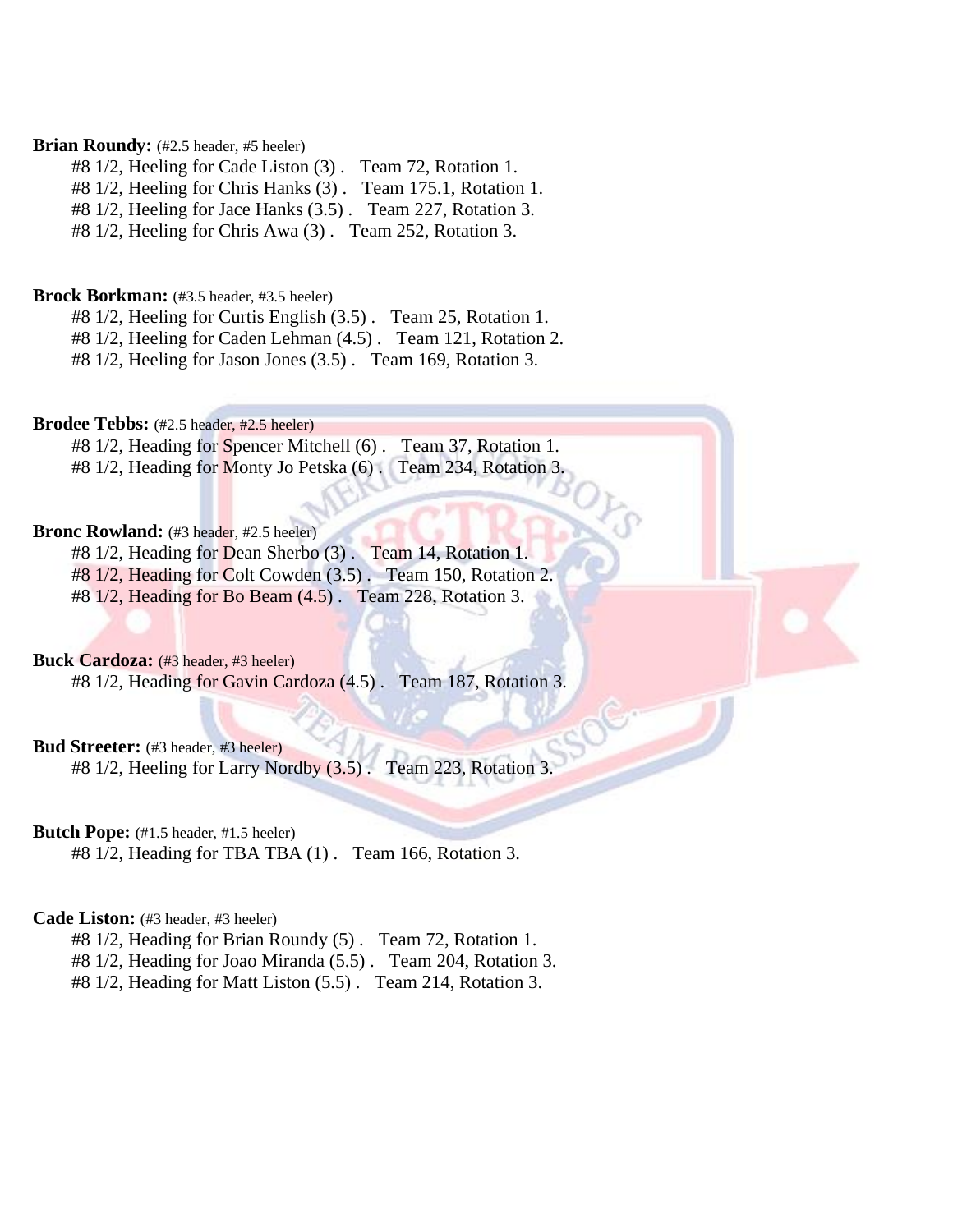#### Brian Roundy: (#2.5 header, #5 heeler)

#8 1/2, Heeling for Cade Liston (3) . Team 72, Rotation 1.

#8 1/2, Heeling for Chris Hanks (3) . Team 175.1, Rotation 1.

#8 1/2, Heeling for Jace Hanks (3.5) . Team 227, Rotation 3.

#8 1/2, Heeling for Chris Awa (3) . Team 252, Rotation 3.

#### **Brock Borkman:** (#3.5 header, #3.5 heeler)

#8 1/2, Heeling for Curtis English (3.5) . Team 25, Rotation 1.

#8 1/2, Heeling for Caden Lehman (4.5) . Team 121, Rotation 2.

#8 1/2, Heeling for Jason Jones (3.5) . Team 169, Rotation 3.

#### **Brodee Tebbs:** (#2.5 header, #2.5 heeler)

#8 1/2, Heading for Spencer Mitchell (6) . Team 37, Rotation 1.

#8 1/2, Heading for Monty Jo Petska (6) . Team 234, Rotation 3.

#### Bronc Rowland: (#3 header, #2.5 heeler)

#8 1/2, Heading for Dean Sherbo (3) . Team 14, Rotation 1. #8 1/2, Heading for Colt Cowden (3.5) . Team 150, Rotation 2.

#8 1/2, Heading for Bo Beam (4.5) . Team 228, Rotation 3.

#### **Buck Cardoza:** (#3 header, #3 heeler)

#8 1/2, Heading for Gavin Cardoza (4.5) . Team 187, Rotation 3.

#### **Bud Streeter:** (#3 header, #3 heeler)

#8 1/2, Heeling for Larry Nordby (3.5). Team 223, Rotation 3.

#### **Butch Pope:** (#1.5 header, #1.5 heeler)

#8 1/2, Heading for TBA TBA (1) . Team 166, Rotation 3.

#### **Cade Liston:** (#3 header, #3 heeler)

#8 1/2, Heading for Brian Roundy (5) . Team 72, Rotation 1.

#8 1/2, Heading for Joao Miranda (5.5) . Team 204, Rotation 3.

#8 1/2, Heading for Matt Liston (5.5) . Team 214, Rotation 3.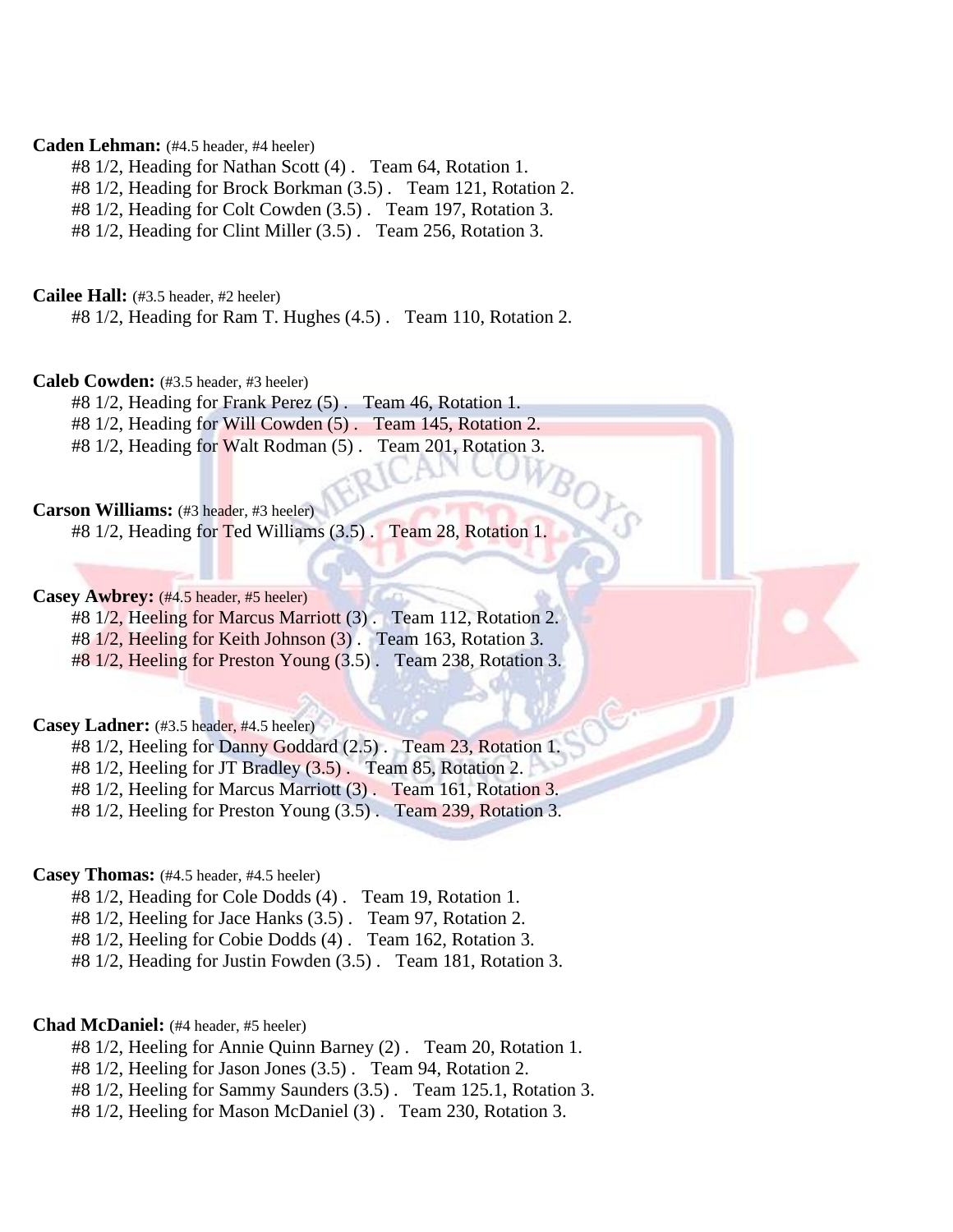#### **Caden Lehman:** (#4.5 header, #4 heeler)

#8 1/2, Heading for Nathan Scott (4) . Team 64, Rotation 1.

#8 1/2, Heading for Brock Borkman (3.5) . Team 121, Rotation 2.

#8 1/2, Heading for Colt Cowden (3.5) . Team 197, Rotation 3.

#8 1/2, Heading for Clint Miller (3.5) . Team 256, Rotation 3.

**Cailee Hall:** (#3.5 header, #2 heeler)

#8 1/2, Heading for Ram T. Hughes (4.5) . Team 110, Rotation 2.

#### **Caleb Cowden:** (#3.5 header, #3 heeler)

#8 1/2, Heading for Frank Perez (5) . Team 46, Rotation 1.

#8 1/2, Heading for Will Cowden (5) . Team 145, Rotation 2.

#8 1/2, Heading for Walt Rodman (5) . Team 201, Rotation 3.

#### **Carson Williams:** (#3 header, #3 heeler)

#8 1/2, Heading for Ted Williams (3.5) . Team 28, Rotation 1.

#### **Casey Awbrey:** (#4.5 header, #5 heeler)

#8 1/2, Heeling for Marcus Marriott (3) . Team 112, Rotation 2.

#8 1/2, Heeling for Keith Johnson (3) . Team 163, Rotation 3.

#8 1/2, Heeling for Preston Young (3.5) . Team 238, Rotation 3.

#### **Casey Ladner:** (#3.5 header, #4.5 heeler)

#8 1/2, Heeling for Danny Goddard (2.5) . Team 23, Rotation 1. #8 1/2, Heeling for JT Bradley (3.5) . Team 85, Rotation 2.

#8 1/2, Heeling for Marcus Marriott (3) . Team 161, Rotation 3.

#8 1/2, Heeling for Preston Young (3.5) . Team 239, Rotation 3.

#### **Casey Thomas:** (#4.5 header, #4.5 heeler)

#8 1/2, Heading for Cole Dodds (4) . Team 19, Rotation 1.

#8 1/2, Heeling for Jace Hanks (3.5) . Team 97, Rotation 2.

#8 1/2, Heeling for Cobie Dodds (4) . Team 162, Rotation 3.

#8 1/2, Heading for Justin Fowden (3.5) . Team 181, Rotation 3.

#### **Chad McDaniel:** (#4 header, #5 heeler)

- #8 1/2, Heeling for Annie Quinn Barney (2) . Team 20, Rotation 1.
- #8 1/2, Heeling for Jason Jones (3.5) . Team 94, Rotation 2.
- #8 1/2, Heeling for Sammy Saunders (3.5) . Team 125.1, Rotation 3.
- #8 1/2, Heeling for Mason McDaniel (3) . Team 230, Rotation 3.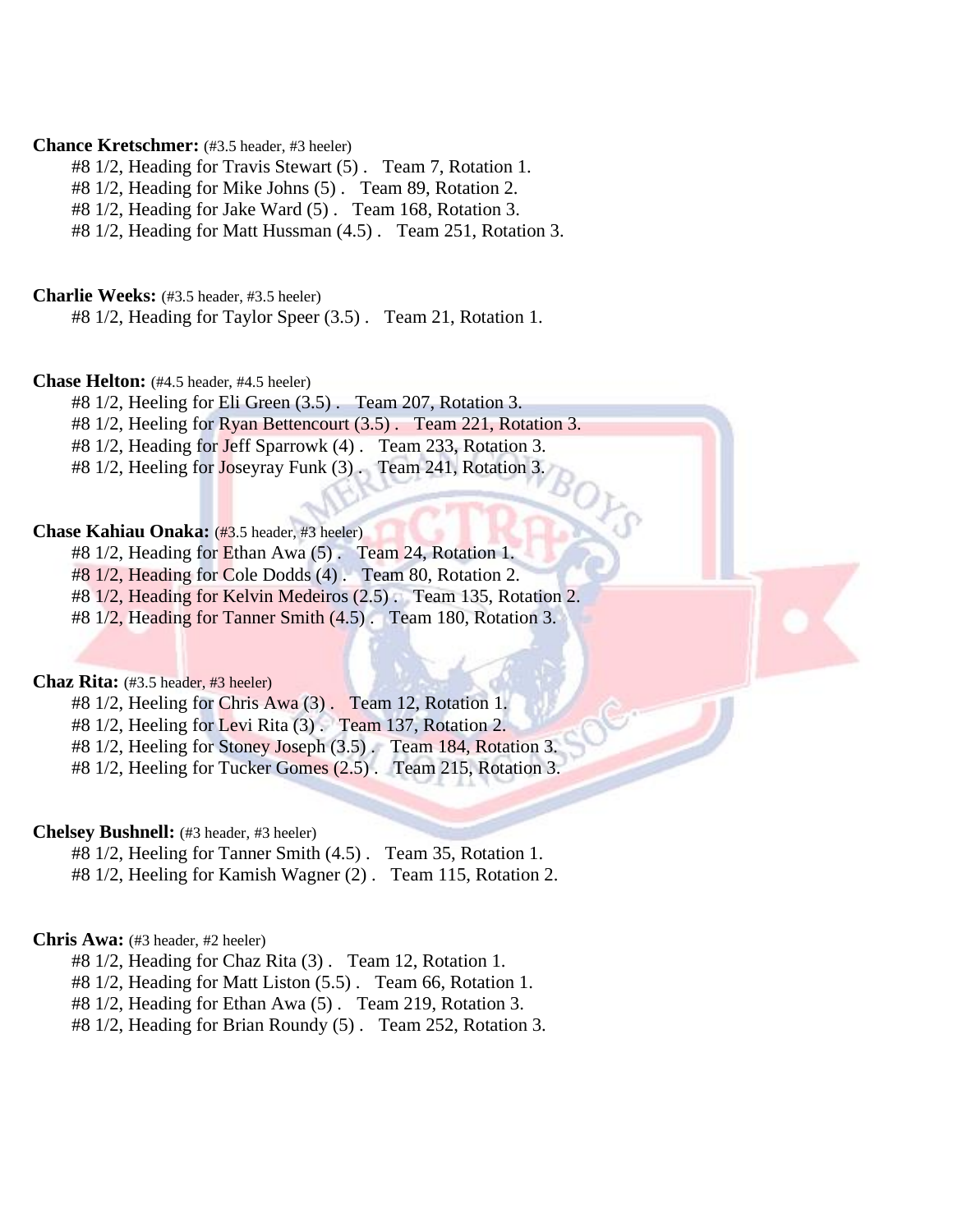#### **Chance Kretschmer:** (#3.5 header, #3 heeler)

#8 1/2, Heading for Travis Stewart (5) . Team 7, Rotation 1.

#8 1/2, Heading for Mike Johns (5) . Team 89, Rotation 2.

#8 1/2, Heading for Jake Ward (5) . Team 168, Rotation 3.

#8 1/2, Heading for Matt Hussman (4.5) . Team 251, Rotation 3.

**Charlie Weeks:** (#3.5 header, #3.5 heeler)

#8 1/2, Heading for Taylor Speer (3.5) . Team 21, Rotation 1.

#### **Chase Helton:** (#4.5 header, #4.5 heeler)

#8 1/2, Heeling for Eli Green (3.5) . Team 207, Rotation 3.

#8 1/2, Heeling for Ryan Bettencourt (3.5) . Team 221, Rotation 3.

#8 1/2, Heading for Jeff Sparrowk (4) . Team 233, Rotation 3.

#8 1/2, Heeling for Joseyray Funk (3). Team 241, Rotation 3.

#### **Chase Kahiau Onaka:** (#3.5 header, #3 heeler)

#8 1/2, Heading for Ethan Awa (5) . Team 24, Rotation 1.

#8 1/2, Heading for Cole Dodds (4) . Team 80, Rotation 2.

#8 1/2, Heading for Kelvin Medeiros (2.5) . Team 135, Rotation 2.

 $#8\ 1/2$ , Heading for Tanner Smith  $(4.5)$ . Team 180, Rotation 3.

#### **Chaz Rita:** (#3.5 header, #3 heeler)

#8 1/2, Heeling for Chris Awa (3) . Team 12, Rotation 1.

#8 1/2, Heeling for Levi Rita (3) . Team 137, Rotation 2.

#8 1/2, Heeling for Stoney Joseph (3.5) . Team 184, Rotation 3.

#8 1/2, Heeling for Tucker Gomes (2.5) . Team 215, Rotation 3.

#### **Chelsey Bushnell:** (#3 header, #3 heeler)

- #8 1/2, Heeling for Tanner Smith (4.5) . Team 35, Rotation 1.
- #8 1/2, Heeling for Kamish Wagner (2) . Team 115, Rotation 2.

#### **Chris Awa:** (#3 header, #2 heeler)

#8 1/2, Heading for Chaz Rita (3) . Team 12, Rotation 1.

#8 1/2, Heading for Matt Liston (5.5) . Team 66, Rotation 1.

#8 1/2, Heading for Ethan Awa (5) . Team 219, Rotation 3.

#8 1/2, Heading for Brian Roundy (5) . Team 252, Rotation 3.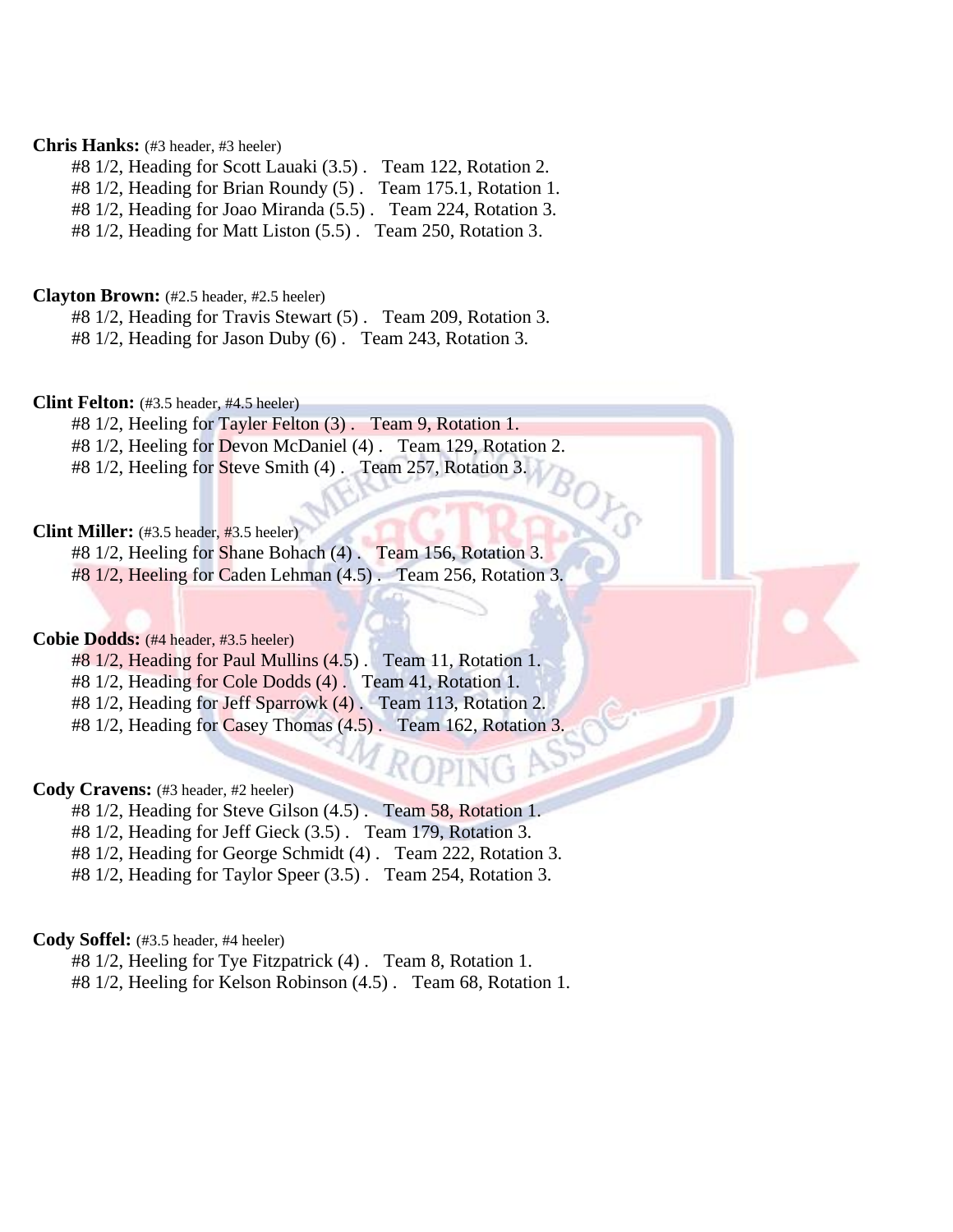#### **Chris Hanks:** (#3 header, #3 heeler)

#8 1/2, Heading for Scott Lauaki (3.5) . Team 122, Rotation 2.

#8 1/2, Heading for Brian Roundy (5) . Team 175.1, Rotation 1.

#8 1/2, Heading for Joao Miranda (5.5) . Team 224, Rotation 3.

#8 1/2, Heading for Matt Liston (5.5) . Team 250, Rotation 3.

#### **Clayton Brown:** (#2.5 header, #2.5 heeler)

#8 1/2, Heading for Travis Stewart (5) . Team 209, Rotation 3.

#8 1/2, Heading for Jason Duby (6) . Team 243, Rotation 3.

#### **Clint Felton:** (#3.5 header, #4.5 heeler)

#8 1/2, Heeling for Tayler Felton (3) . Team 9, Rotation 1. #8 1/2, Heeling for Devon McDaniel (4) . Team 129, Rotation 2.

#8 1/2, Heeling for Steve Smith (4). Team 257, Rotation 3.

#### **Clint Miller:** (#3.5 header, #3.5 heeler)

#8 1/2, Heeling for Shane Bohach (4) . Team 156, Rotation 3. #8 1/2, Heeling for Caden Lehman (4.5) . Team 256, Rotation 3.

#### **Cobie Dodds:** (#4 header, #3.5 heeler)

#8 1/2, Heading for Paul Mullins (4.5) . Team 11, Rotation 1. #8 1/2, Heading for Cole Dodds (4) . Team 41, Rotation 1. #8 1/2, Heading for Jeff Sparrowk (4). Team 113, Rotation 2.

#8 1/2, Heading for Casey Thomas (4.5) . Team 162, Rotation 3.

#### **Cody Cravens:** (#3 header, #2 heeler)

#8 1/2, Heading for Steve Gilson (4.5) . Team 58, Rotation 1.

#8 1/2, Heading for Jeff Gieck (3.5) . Team 179, Rotation 3.

#8 1/2, Heading for George Schmidt (4) . Team 222, Rotation 3.

#8 1/2, Heading for Taylor Speer (3.5) . Team 254, Rotation 3.

#### **Cody Soffel:** (#3.5 header, #4 heeler)

#8 1/2, Heeling for Tye Fitzpatrick (4) . Team 8, Rotation 1. #8 1/2, Heeling for Kelson Robinson (4.5) . Team 68, Rotation 1.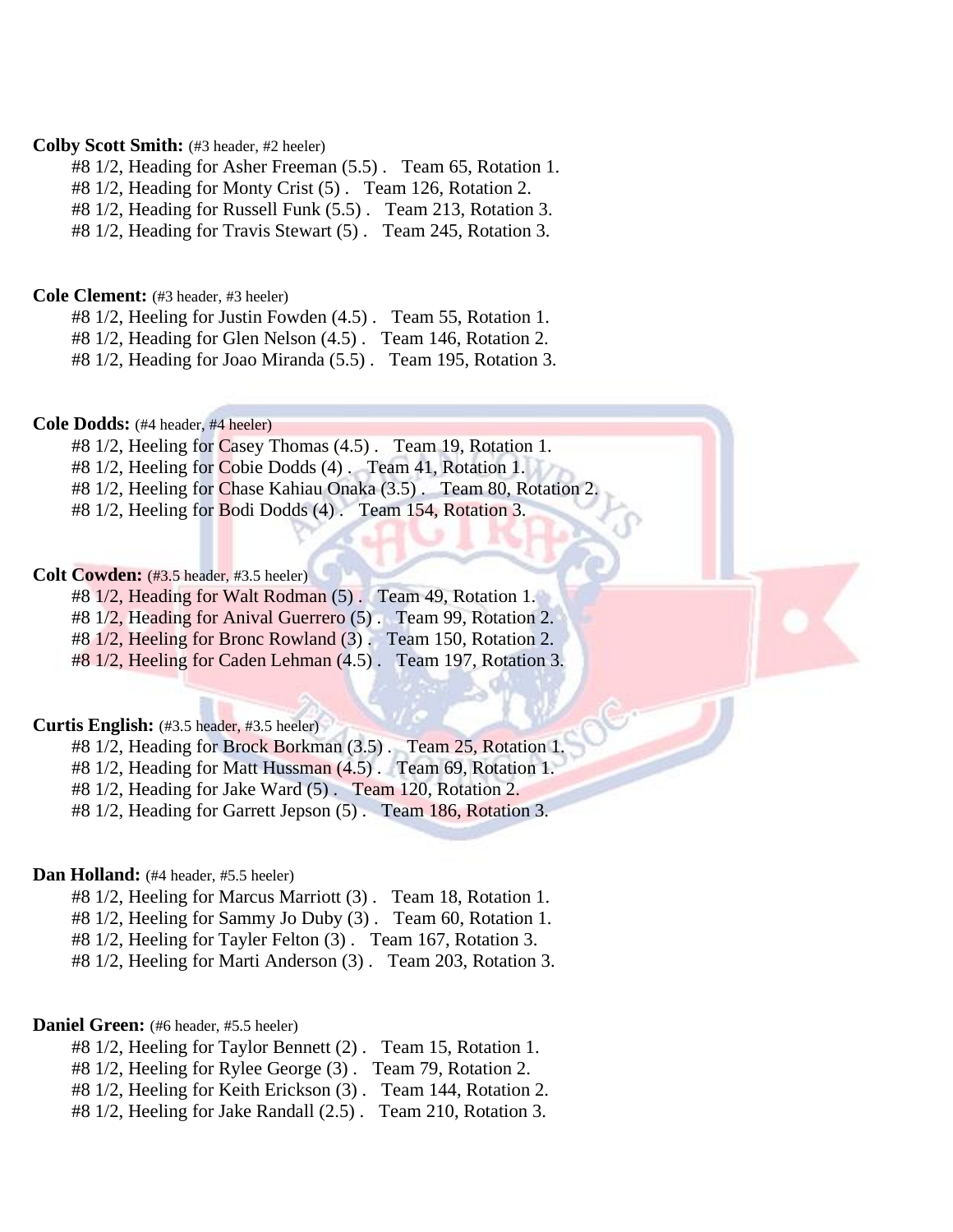#### **Colby Scott Smith:** (#3 header, #2 heeler)

#8 1/2, Heading for Asher Freeman (5.5) . Team 65, Rotation 1.

#8 1/2, Heading for Monty Crist (5) . Team 126, Rotation 2.

#8 1/2, Heading for Russell Funk (5.5) . Team 213, Rotation 3.

#8 1/2, Heading for Travis Stewart (5) . Team 245, Rotation 3.

#### **Cole Clement:** (#3 header, #3 heeler)

#8 1/2, Heeling for Justin Fowden (4.5) . Team 55, Rotation 1.

#8 1/2, Heading for Glen Nelson (4.5) . Team 146, Rotation 2.

#8 1/2, Heading for Joao Miranda (5.5) . Team 195, Rotation 3.

#### **Cole Dodds:** (#4 header, #4 heeler)

#8 1/2, Heeling for Casey Thomas (4.5) . Team 19, Rotation 1.

#8 1/2, Heeling for Cobie Dodds (4) . Team 41, Rotation 1.

#8 1/2, Heeling for Chase Kahiau Onaka (3.5). Team 80, Rotation 2

#8 1/2, Heeling for Bodi Dodds (4). Team 154, Rotation 3.

#### **Colt Cowden:** (#3.5 header, #3.5 heeler)

#8 1/2, Heading for Walt Rodman (5) . Team 49, Rotation 1.

#8 1/2, Heading for Anival Guerrero (5) . Team 99, Rotation 2.

#8 1/2, Heeling for Bronc Rowland (3) . Team 150, Rotation 2.

#8 1/2, Heeling for Caden Lehman (4.5) . Team 197, Rotation 3.

#### **Curtis English:** (#3.5 header, #3.5 heeler)

#8 1/2, Heading for Brock Borkman (3.5) . Team 25, Rotation 1.

#8 1/2, Heading for Matt Hussman (4.5) . Team 69, Rotation 1.

#8 1/2, Heading for Jake Ward (5) . Team 120, Rotation 2.

#8 1/2, Heading for Garrett Jepson (5) . Team 186, Rotation 3.

#### Dan Holland: (#4 header, #5.5 heeler)

#8 1/2, Heeling for Marcus Marriott (3) . Team 18, Rotation 1.

#8 1/2, Heeling for Sammy Jo Duby (3) . Team 60, Rotation 1.

#8 1/2, Heeling for Tayler Felton (3) . Team 167, Rotation 3.

#8 1/2, Heeling for Marti Anderson (3) . Team 203, Rotation 3.

#### **Daniel Green:** (#6 header, #5.5 heeler)

- #8 1/2, Heeling for Taylor Bennett (2) . Team 15, Rotation 1.
- #8 1/2, Heeling for Rylee George (3) . Team 79, Rotation 2.
- #8 1/2, Heeling for Keith Erickson (3) . Team 144, Rotation 2.
- #8 1/2, Heeling for Jake Randall (2.5) . Team 210, Rotation 3.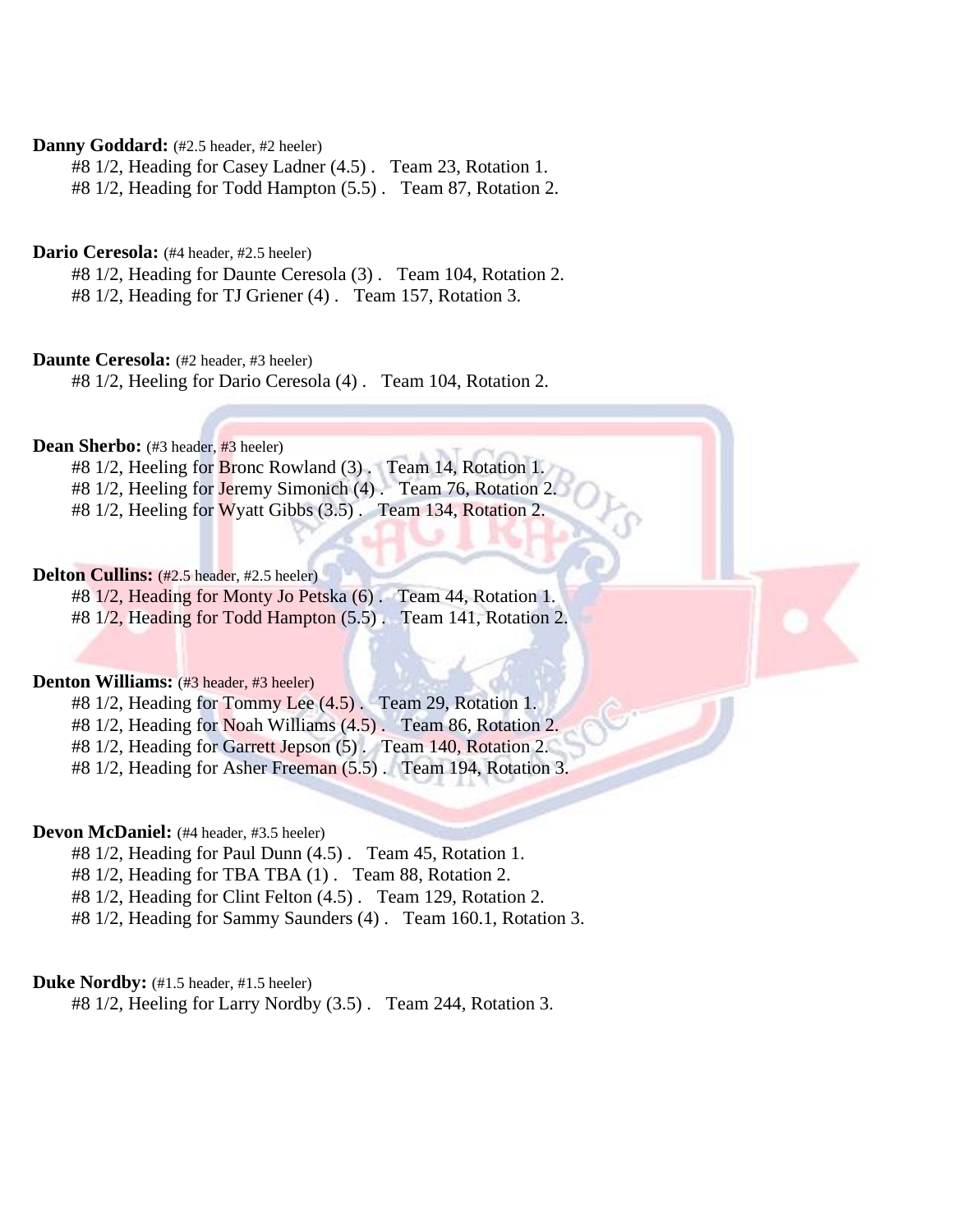#### Danny Goddard: (#2.5 header, #2 heeler)

#8 1/2, Heading for Casey Ladner (4.5) . Team 23, Rotation 1.

#8 1/2, Heading for Todd Hampton (5.5) . Team 87, Rotation 2.

#### **Dario Ceresola:** (#4 header, #2.5 heeler)

#8 1/2, Heading for Daunte Ceresola (3) . Team 104, Rotation 2.

#8 1/2, Heading for TJ Griener (4) . Team 157, Rotation 3.

#### **Daunte Ceresola:** (#2 header, #3 heeler)

#8 1/2, Heeling for Dario Ceresola (4) . Team 104, Rotation 2.

#### Dean Sherbo: (#3 header, #3 heeler)

#8 1/2, Heeling for Bronc Rowland (3). Team 14, Rotation 1.

- #8 1/2, Heeling for Jeremy Simonich (4) . Team 76, Rotation 2.
- #8 1/2, Heeling for Wyatt Gibbs (3.5) . Team 134, Rotation 2.

#### **Delton Cullins:** (#2.5 header, #2.5 heeler)

#8 1/2, Heading for Monty Jo Petska (6) . Team 44, Rotation 1. #8 1/2, Heading for Todd Hampton (5.5) . Team 141, Rotation 2.

#### **Denton Williams:** (#3 header, #3 heeler)

#8 1/2, Heading for Tommy Lee (4.5) . Team 29, Rotation 1.

#8 1/2, Heading for Noah Williams (4.5) . Team 86, Rotation 2.

#8 1/2, Heading for Garrett Jepson (5) . Team 140, Rotation 2.

#8 1/2, Heading for Asher Freeman (5.5) . Team 194, Rotation 3.

#### **Devon McDaniel:** (#4 header, #3.5 heeler)

#8 1/2, Heading for Paul Dunn (4.5) . Team 45, Rotation 1.

#8 1/2, Heading for TBA TBA (1) . Team 88, Rotation 2.

#8 1/2, Heading for Clint Felton (4.5) . Team 129, Rotation 2.

#8 1/2, Heading for Sammy Saunders (4) . Team 160.1, Rotation 3.

#### **Duke Nordby:** (#1.5 header, #1.5 heeler)

#8 1/2, Heeling for Larry Nordby (3.5) . Team 244, Rotation 3.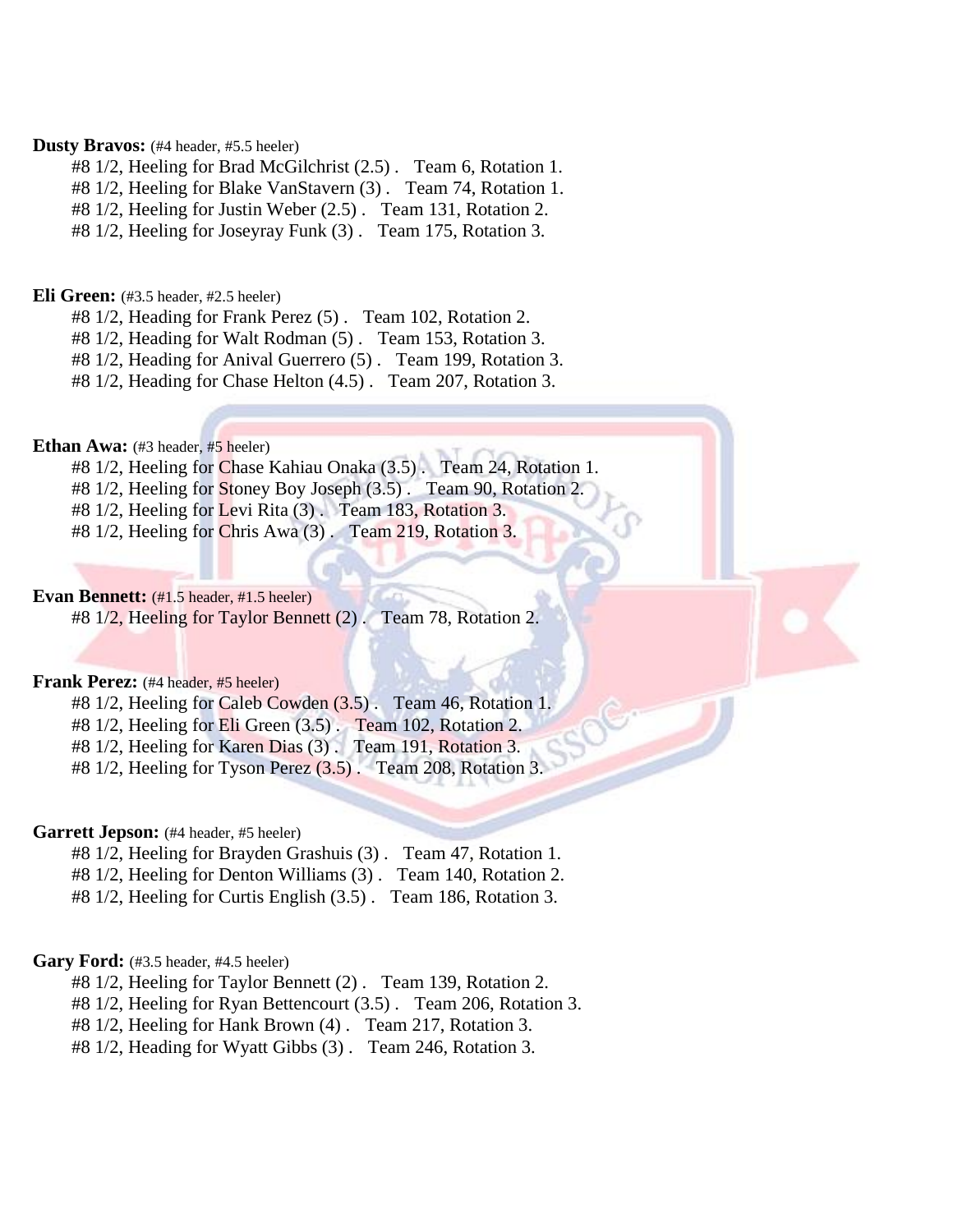#### **Dusty Bravos:** (#4 header, #5.5 heeler)

#8 1/2, Heeling for Brad McGilchrist (2.5) . Team 6, Rotation 1.

#8 1/2, Heeling for Blake VanStavern (3) . Team 74, Rotation 1.

#8 1/2, Heeling for Justin Weber (2.5) . Team 131, Rotation 2.

#8 1/2, Heeling for Joseyray Funk (3) . Team 175, Rotation 3.

#### **Eli Green:** (#3.5 header, #2.5 heeler)

#8 1/2, Heading for Frank Perez (5) . Team 102, Rotation 2.

#8 1/2, Heading for Walt Rodman (5) . Team 153, Rotation 3.

#8 1/2, Heading for Anival Guerrero (5) . Team 199, Rotation 3.

#8 1/2, Heading for Chase Helton (4.5) . Team 207, Rotation 3.

#### **Ethan Awa:** (#3 header, #5 heeler)

#8 1/2, Heeling for Chase Kahiau Onaka (3.5) . Team 24, Rotation 1.

#8 1/2, Heeling for Stoney Boy Joseph (3.5) . Team 90, Rotation 2.

#8 1/2, Heeling for Levi Rita (3) . Team 183, Rotation 3.

#8 1/2, Heeling for Chris Awa (3) . Team 219, Rotation 3.

#### **Evan Bennett:** (#1.5 header, #1.5 heeler)

#8 1/2, Heeling for Taylor Bennett (2) . Team 78, Rotation 2.

#### **Frank Perez:** (#4 header, #5 heeler)

#8 1/2, Heeling for Caleb Cowden (3.5) . Team 46, Rotation 1.

#8 1/2, Heeling for Eli Green (3.5) . Team 102, Rotation 2.

#8 1/2, Heeling for Karen Dias (3) . Team 191, Rotation 3.

#8 1/2, Heeling for Tyson Perez (3.5) . Team 208, Rotation 3.

#### Garrett Jepson: (#4 header, #5 heeler)

- #8 1/2, Heeling for Brayden Grashuis (3) . Team 47, Rotation 1.
- #8 1/2, Heeling for Denton Williams (3) . Team 140, Rotation 2.
- #8 1/2, Heeling for Curtis English (3.5) . Team 186, Rotation 3.

#### **Gary Ford:** (#3.5 header, #4.5 heeler)

#8 1/2, Heeling for Taylor Bennett (2) . Team 139, Rotation 2.

#8 1/2, Heeling for Ryan Bettencourt (3.5) . Team 206, Rotation 3.

#8 1/2, Heeling for Hank Brown (4) . Team 217, Rotation 3.

#8 1/2, Heading for Wyatt Gibbs (3) . Team 246, Rotation 3.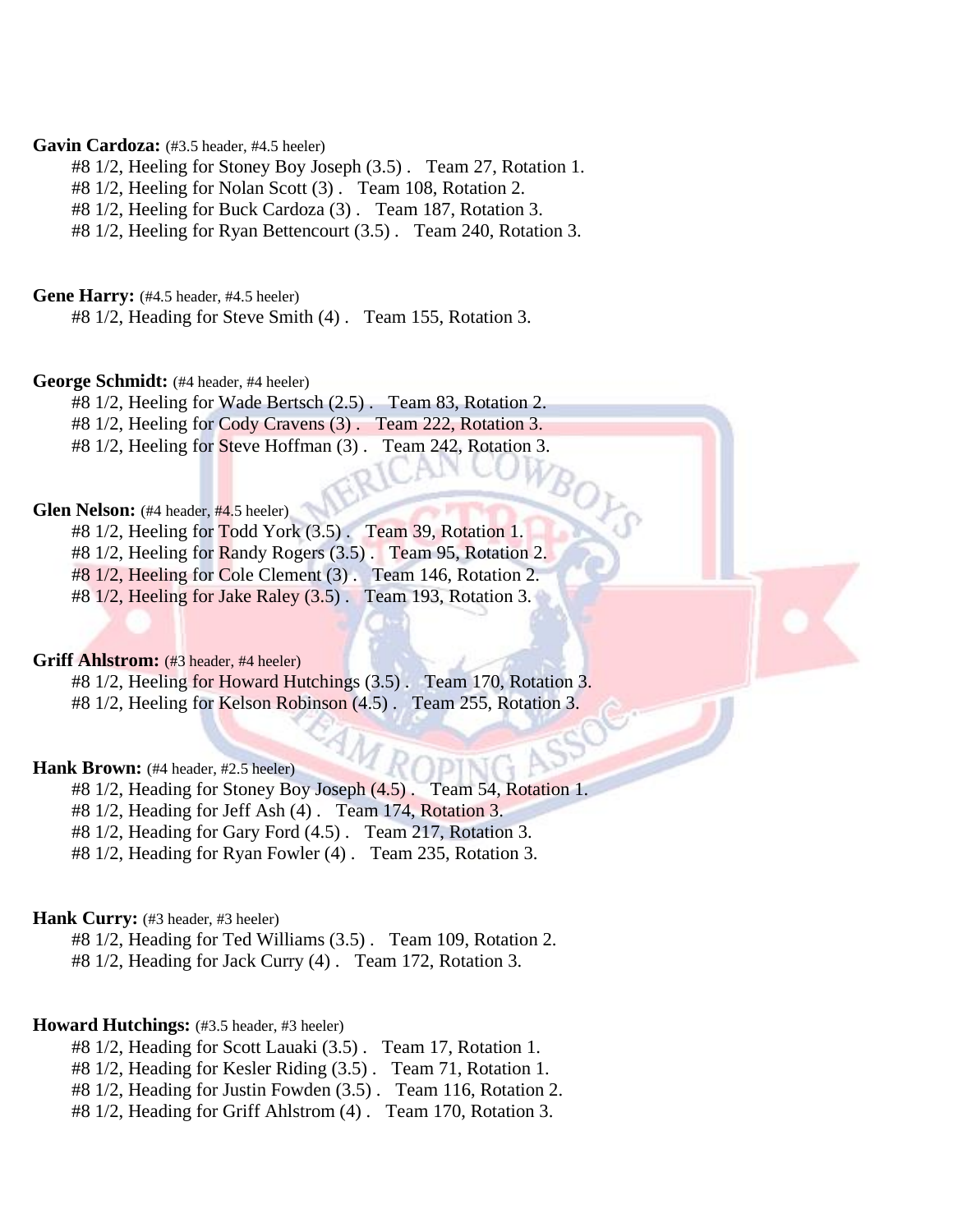#### Gavin Cardoza: (#3.5 header, #4.5 heeler)

- #8 1/2, Heeling for Stoney Boy Joseph (3.5) . Team 27, Rotation 1.
- #8 1/2, Heeling for Nolan Scott (3) . Team 108, Rotation 2.

#8 1/2, Heeling for Buck Cardoza (3) . Team 187, Rotation 3.

#8 1/2, Heeling for Ryan Bettencourt (3.5) . Team 240, Rotation 3.

Gene Harry: (#4.5 header, #4.5 heeler)

#8 1/2, Heading for Steve Smith (4) . Team 155, Rotation 3.

#### **George Schmidt:** (#4 header, #4 heeler)

#8 1/2, Heeling for Wade Bertsch (2.5) . Team 83, Rotation 2.

#8 1/2, Heeling for Cody Cravens (3) . Team 222, Rotation 3.

#8 1/2, Heeling for Steve Hoffman (3) . Team 242, Rotation 3.

#### **Glen Nelson:** (#4 header, #4.5 heeler)

#8 1/2, Heeling for Todd York (3.5) . Team 39, Rotation 1. #8 1/2, Heeling for Randy Rogers (3.5) . Team 95, Rotation 2. #8 1/2, Heeling for Cole Clement (3) . Team 146, Rotation 2.

#8 1/2, Heeling for Jake Raley (3.5) . Team 193, Rotation 3.

#### **Griff Ahlstrom:** (#3 header, #4 heeler)

#8 1/2, Heeling for Howard Hutchings (3.5) . Team 170, Rotation 3. #8 1/2, Heeling for Kelson Robinson (4.5) . Team 255, Rotation 3.

#### **Hank Brown:** (#4 header, #2.5 heeler)

#8 1/2, Heading for Stoney Boy Joseph (4.5) . Team 54, Rotation 1.

#8 1/2, Heading for Jeff Ash (4) . Team 174, Rotation 3.

#8 1/2, Heading for Gary Ford (4.5) . Team 217, Rotation 3.

#8 1/2, Heading for Ryan Fowler (4) . Team 235, Rotation 3.

#### **Hank Curry:** (#3 header, #3 heeler)

#8 1/2, Heading for Ted Williams (3.5) . Team 109, Rotation 2. #8 1/2, Heading for Jack Curry (4) . Team 172, Rotation 3.

#### Howard Hutchings: (#3.5 header, #3 heeler)

- #8 1/2, Heading for Scott Lauaki (3.5) . Team 17, Rotation 1.
- #8 1/2, Heading for Kesler Riding (3.5) . Team 71, Rotation 1.
- #8 1/2, Heading for Justin Fowden (3.5) . Team 116, Rotation 2.
- #8 1/2, Heading for Griff Ahlstrom (4) . Team 170, Rotation 3.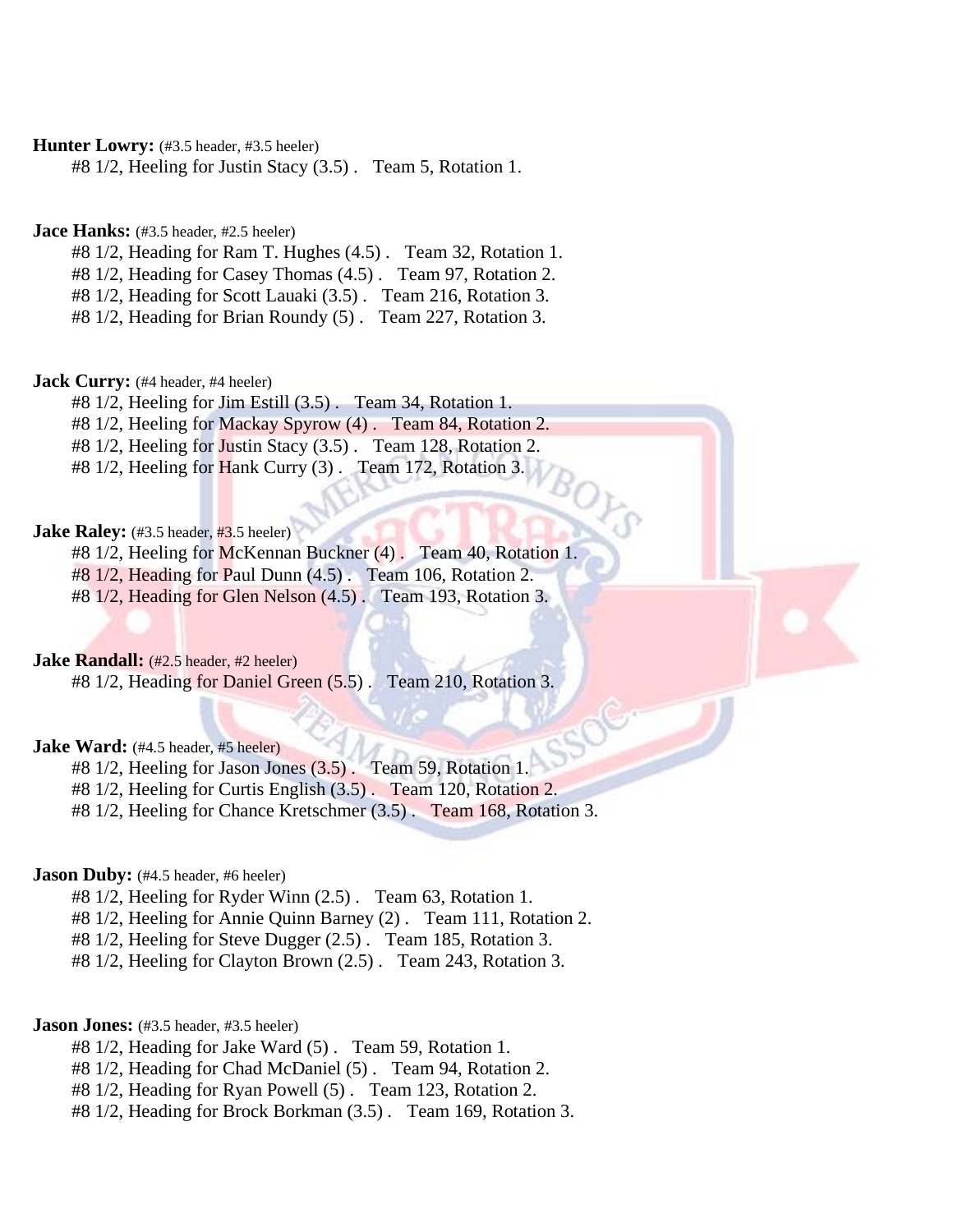Hunter Lowry: (#3.5 header, #3.5 heeler)

#8 1/2, Heeling for Justin Stacy (3.5) . Team 5, Rotation 1.

**Jace Hanks:** (#3.5 header, #2.5 heeler)

#8 1/2, Heading for Ram T. Hughes (4.5) . Team 32, Rotation 1.

#8 1/2, Heading for Casey Thomas (4.5) . Team 97, Rotation 2.

#8 1/2, Heading for Scott Lauaki (3.5) . Team 216, Rotation 3.

#8 1/2, Heading for Brian Roundy (5) . Team 227, Rotation 3.

**Jack Curry:** (#4 header, #4 heeler)

#8 1/2, Heeling for Jim Estill (3.5) . Team 34, Rotation 1.

#8 1/2, Heeling for Mackay Spyrow (4) . Team 84, Rotation 2.

#8 1/2, Heeling for Justin Stacy (3.5) . Team 128, Rotation 2.

#8 1/2, Heeling for Hank Curry (3). Team 172, Rotation 3.

#### **Jake Raley:** (#3.5 header, #3.5 heeler)

#8 1/2, Heeling for McKennan Buckner (4) . Team 40, Rotation 1.

#8 1/2, Heading for Paul Dunn (4.5) . Team 106, Rotation 2.

#8 1/2, Heading for Glen Nelson (4.5) . Team 193, Rotation 3.

**Jake Randall:** (#2.5 header, #2 heeler)

#8 1/2, Heading for Daniel Green (5.5) . Team 210, Rotation 3.

**Jake Ward:** (#4.5 header, #5 heeler)

#8 1/2, Heeling for Jason Jones (3.5) . Team 59, Rotation 1.

#8 1/2, Heeling for Curtis English (3.5) . Team 120, Rotation 2.

#8 1/2, Heeling for Chance Kretschmer (3.5) . Team 168, Rotation 3.

**Jason Duby:** (#4.5 header, #6 heeler)

#8 1/2, Heeling for Ryder Winn (2.5) . Team 63, Rotation 1.

#8 1/2, Heeling for Annie Quinn Barney (2) . Team 111, Rotation 2.

#8 1/2, Heeling for Steve Dugger (2.5) . Team 185, Rotation 3.

#8 1/2, Heeling for Clayton Brown (2.5) . Team 243, Rotation 3.

#### **Jason Jones:** (#3.5 header, #3.5 heeler)

- #8 1/2, Heading for Jake Ward (5) . Team 59, Rotation 1.
- #8 1/2, Heading for Chad McDaniel (5) . Team 94, Rotation 2.
- #8 1/2, Heading for Ryan Powell (5) . Team 123, Rotation 2.
- #8 1/2, Heading for Brock Borkman (3.5) . Team 169, Rotation 3.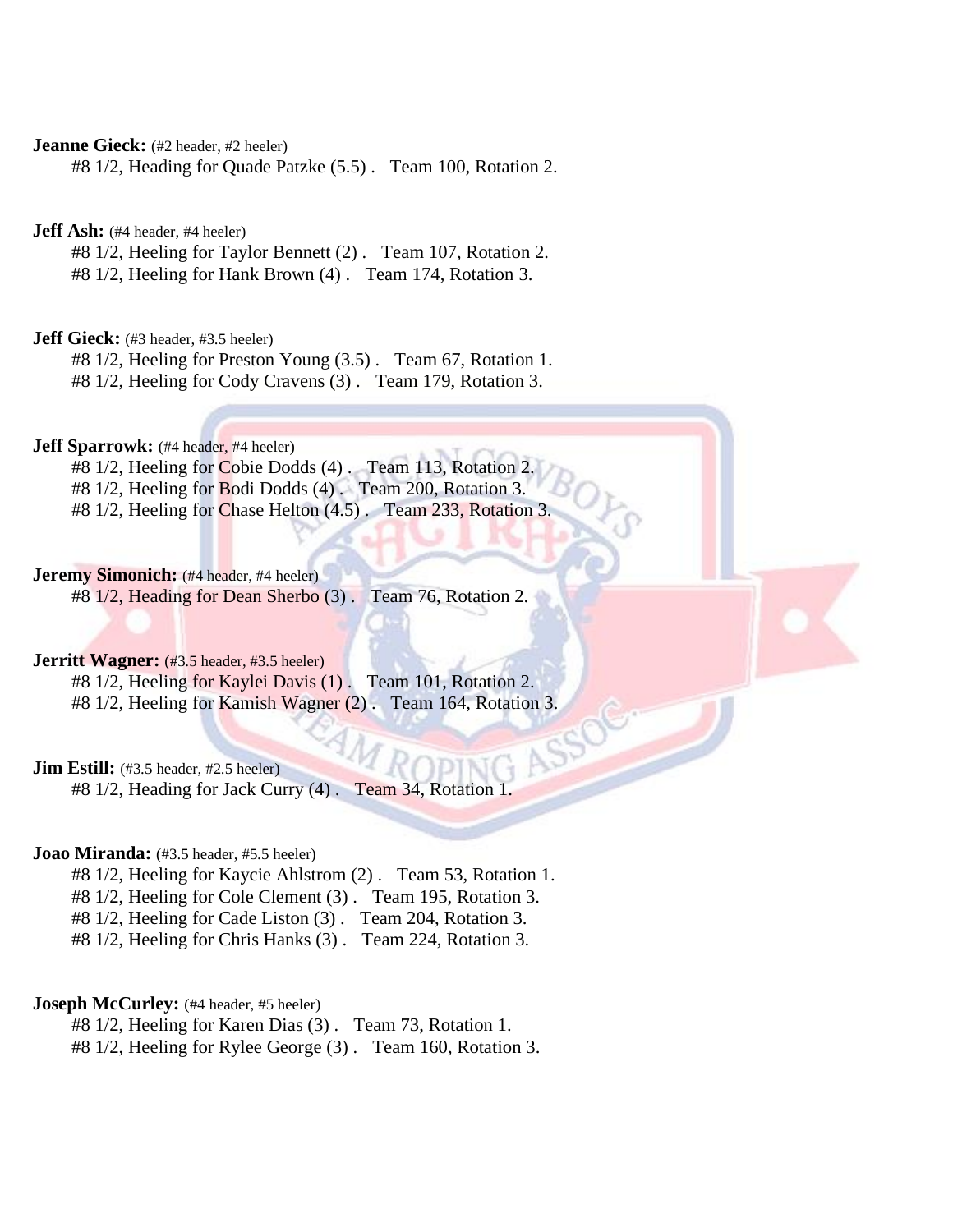**Jeanne Gieck:** (#2 header, #2 heeler)

#8 1/2, Heading for Quade Patzke (5.5) . Team 100, Rotation 2.

**Jeff Ash:** (#4 header, #4 heeler)

#8 1/2, Heeling for Taylor Bennett (2) . Team 107, Rotation 2.

#8 1/2, Heeling for Hank Brown (4) . Team 174, Rotation 3.

**Jeff Gieck:** (#3 header, #3.5 heeler)

#8 1/2, Heeling for Preston Young (3.5) . Team 67, Rotation 1.

#8 1/2, Heeling for Cody Cravens (3) . Team 179, Rotation 3.

**Jeff Sparrowk:** (#4 header, #4 heeler)

#8 1/2, Heeling for Cobie Dodds (4) . Team 113, Rotation 2.

#8 1/2, Heeling for Bodi Dodds (4) . Team 200, Rotation 3.

#8 1/2, Heeling for Chase Helton (4.5). Team 233, Rotation 3.

**Jeremy Simonich:** (#4 header, #4 heeler)

#8 1/2, Heading for Dean Sherbo (3) . Team 76, Rotation 2.

#### **Jerritt Wagner:** (#3.5 header, #3.5 heeler)

#8 1/2, Heeling for Kaylei Davis (1) . Team 101, Rotation 2. #8 1/2, Heeling for Kamish Wagner (2) . Team 164, Rotation 3.

**Jim Estill:** (#3.5 header, #2.5 heeler)

#8 1/2, Heading for Jack Curry (4) . Team 34, Rotation 1.

#### **Joao Miranda:** (#3.5 header, #5.5 heeler)

#8 1/2, Heeling for Kaycie Ahlstrom (2) . Team 53, Rotation 1.

#8 1/2, Heeling for Cole Clement (3) . Team 195, Rotation 3.

#8 1/2, Heeling for Cade Liston (3) . Team 204, Rotation 3.

#8 1/2, Heeling for Chris Hanks (3) . Team 224, Rotation 3.

#### **Joseph McCurley:** (#4 header, #5 heeler)

#8 1/2, Heeling for Karen Dias (3) . Team 73, Rotation 1.

#8 1/2, Heeling for Rylee George (3) . Team 160, Rotation 3.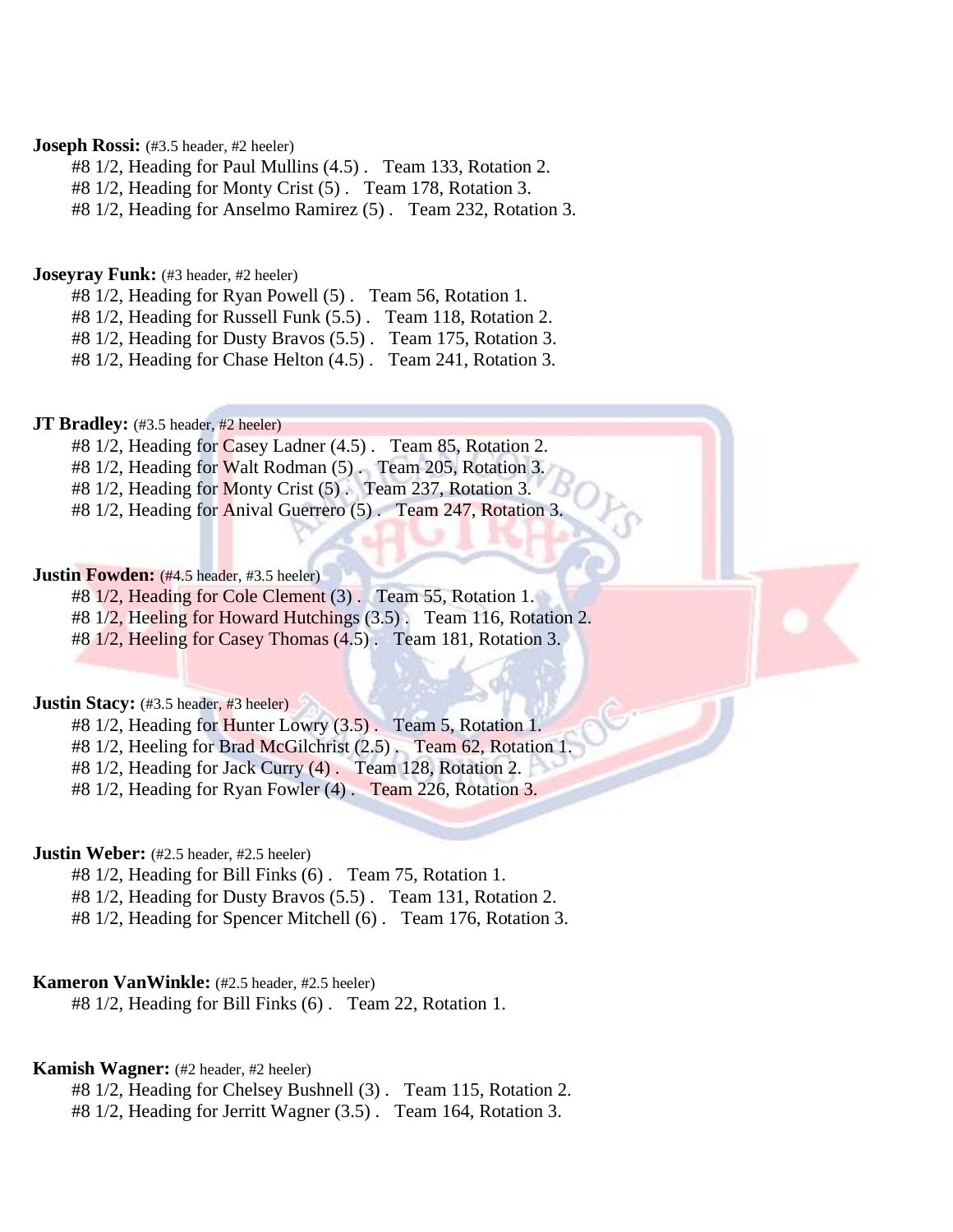#### **Joseph Rossi:** (#3.5 header, #2 heeler)

#8 1/2, Heading for Paul Mullins (4.5) . Team 133, Rotation 2.

#8 1/2, Heading for Monty Crist (5) . Team 178, Rotation 3.

#8 1/2, Heading for Anselmo Ramirez (5) . Team 232, Rotation 3.

#### **Joseyray Funk:** (#3 header, #2 heeler)

#8 1/2, Heading for Ryan Powell (5) . Team 56, Rotation 1.

#8 1/2, Heading for Russell Funk (5.5) . Team 118, Rotation 2.

#8 1/2, Heading for Dusty Bravos (5.5) . Team 175, Rotation 3.

#8 1/2, Heading for Chase Helton (4.5) . Team 241, Rotation 3.

#### **JT Bradley:** (#3.5 header, #2 heeler)

#8 1/2, Heading for Casey Ladner (4.5) . Team 85, Rotation 2.

#8 1/2, Heading for Walt Rodman (5). Team 205, Rotation 3.

#8 1/2, Heading for Monty Crist (5) . Team 237, Rotation 3.

#8 1/2, Heading for Anival Guerrero (5) . Team 247, Rotation 3.

#### **Justin Fowden:** (#4.5 header, #3.5 heeler)

#8 1/2, Heading for Cole Clement (3) . Team 55, Rotation 1.

#8 1/2, Heeling for Howard Hutchings (3.5) . Team 116, Rotation 2.

#8 1/2, Heeling for Casey Thomas (4.5) . Team 181, Rotation 3.

#### **Justin Stacy:** (#3.5 header, #3 heeler)

#8 1/2, Heading for Hunter Lowry (3.5) . Team 5, Rotation 1.

#8 1/2, Heeling for Brad McGilchrist (2.5) . Team 62, Rotation 1.

#8 1/2, Heading for Jack Curry (4) . Team 128, Rotation 2.

#8 1/2, Heading for Ryan Fowler (4) . Team 226, Rotation 3.

#### **Justin Weber:** (#2.5 header, #2.5 heeler)

#8 1/2, Heading for Bill Finks (6) . Team 75, Rotation 1.

#8 1/2, Heading for Dusty Bravos (5.5) . Team 131, Rotation 2.

#8 1/2, Heading for Spencer Mitchell (6) . Team 176, Rotation 3.

#### **Kameron VanWinkle:** (#2.5 header, #2.5 heeler)

#8 1/2, Heading for Bill Finks (6) . Team 22, Rotation 1.

#### **Kamish Wagner:** (#2 header, #2 heeler)

#8 1/2, Heading for Chelsey Bushnell (3) . Team 115, Rotation 2.

#8 1/2, Heading for Jerritt Wagner (3.5) . Team 164, Rotation 3.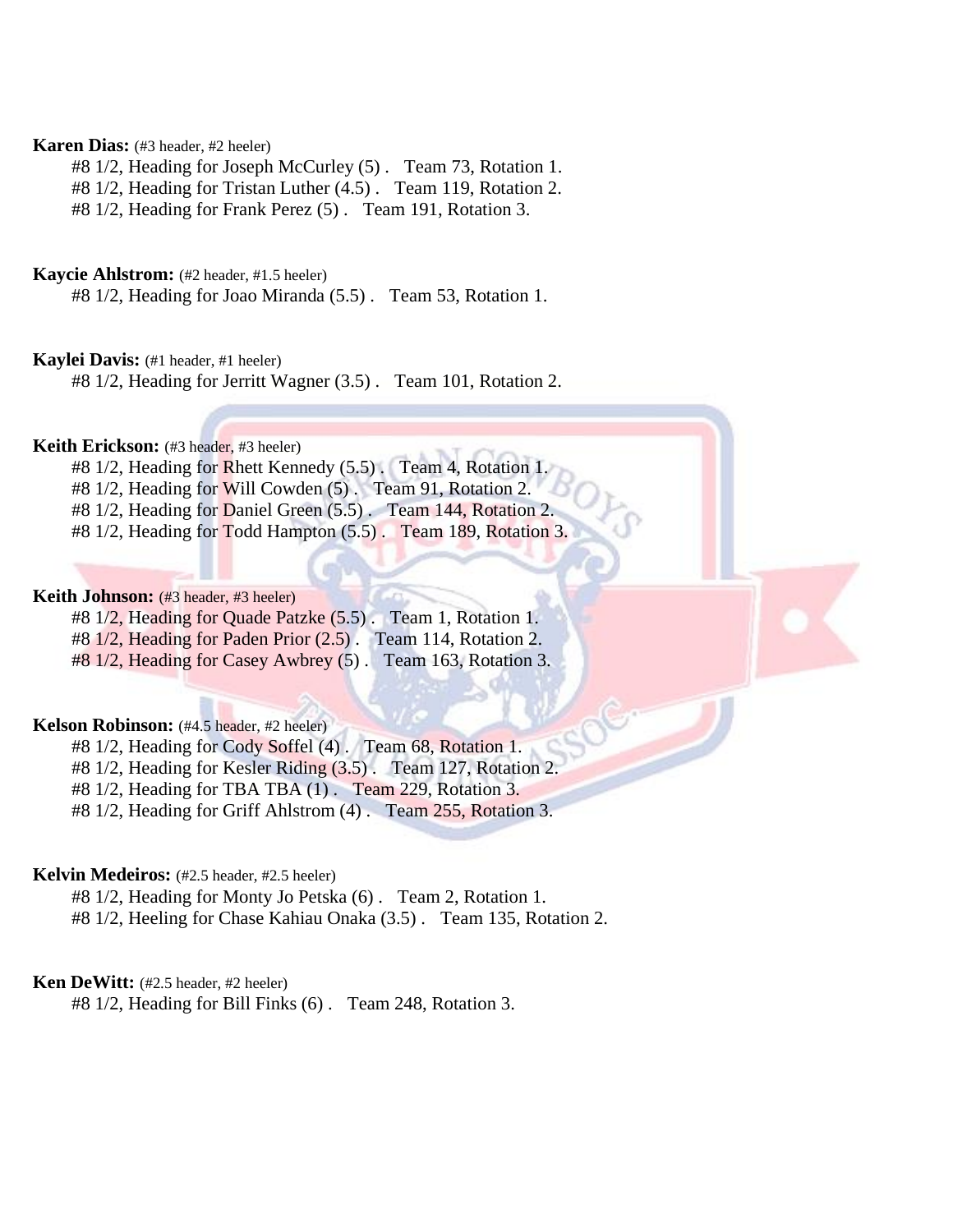#### **Karen Dias:** (#3 header, #2 heeler)

#8 1/2, Heading for Joseph McCurley (5) . Team 73, Rotation 1.

#8 1/2, Heading for Tristan Luther (4.5) . Team 119, Rotation 2.

#8 1/2, Heading for Frank Perez (5) . Team 191, Rotation 3.

#### **Kaycie Ahlstrom:** (#2 header, #1.5 heeler)

#8 1/2, Heading for Joao Miranda (5.5) . Team 53, Rotation 1.

**Kaylei Davis:** (#1 header, #1 heeler)

#8 1/2, Heading for Jerritt Wagner (3.5) . Team 101, Rotation 2.

**Keith Erickson:** (#3 header, #3 heeler)

- #8 1/2, Heading for Rhett Kennedy (5.5). Team 4, Rotation 1.
- #8 1/2, Heading for Will Cowden (5). Team 91, Rotation 2.
- #8 1/2, Heading for Daniel Green (5.5) . Team 144, Rotation 2.
- #8 1/2, Heading for Todd Hampton (5.5) . Team 189, Rotation 3.

#### **Keith Johnson:** (#3 header, #3 heeler)

#8 1/2, Heading for Quade Patzke (5.5) . Team 1, Rotation 1. #8 1/2, Heading for Paden Prior (2.5) . Team 114, Rotation 2.

#8 1/2, Heading for Casey Awbrey (5) . Team 163, Rotation 3.

#### **Kelson Robinson:** (#4.5 header, #2 heeler)

#8 1/2, Heading for Cody Soffel (4) . Team 68, Rotation 1.

#8 1/2, Heading for Kesler Riding (3.5) . Team 127, Rotation 2.

#8 1/2, Heading for TBA TBA (1) . Team 229, Rotation 3.

#8 1/2, Heading for Griff Ahlstrom (4) . Team 255, Rotation 3.

#### **Kelvin Medeiros:** (#2.5 header, #2.5 heeler)

#8 1/2, Heading for Monty Jo Petska (6) . Team 2, Rotation 1.

#8 1/2, Heeling for Chase Kahiau Onaka (3.5) . Team 135, Rotation 2.

## **Ken DeWitt:** (#2.5 header, #2 heeler)

#8 1/2, Heading for Bill Finks (6) . Team 248, Rotation 3.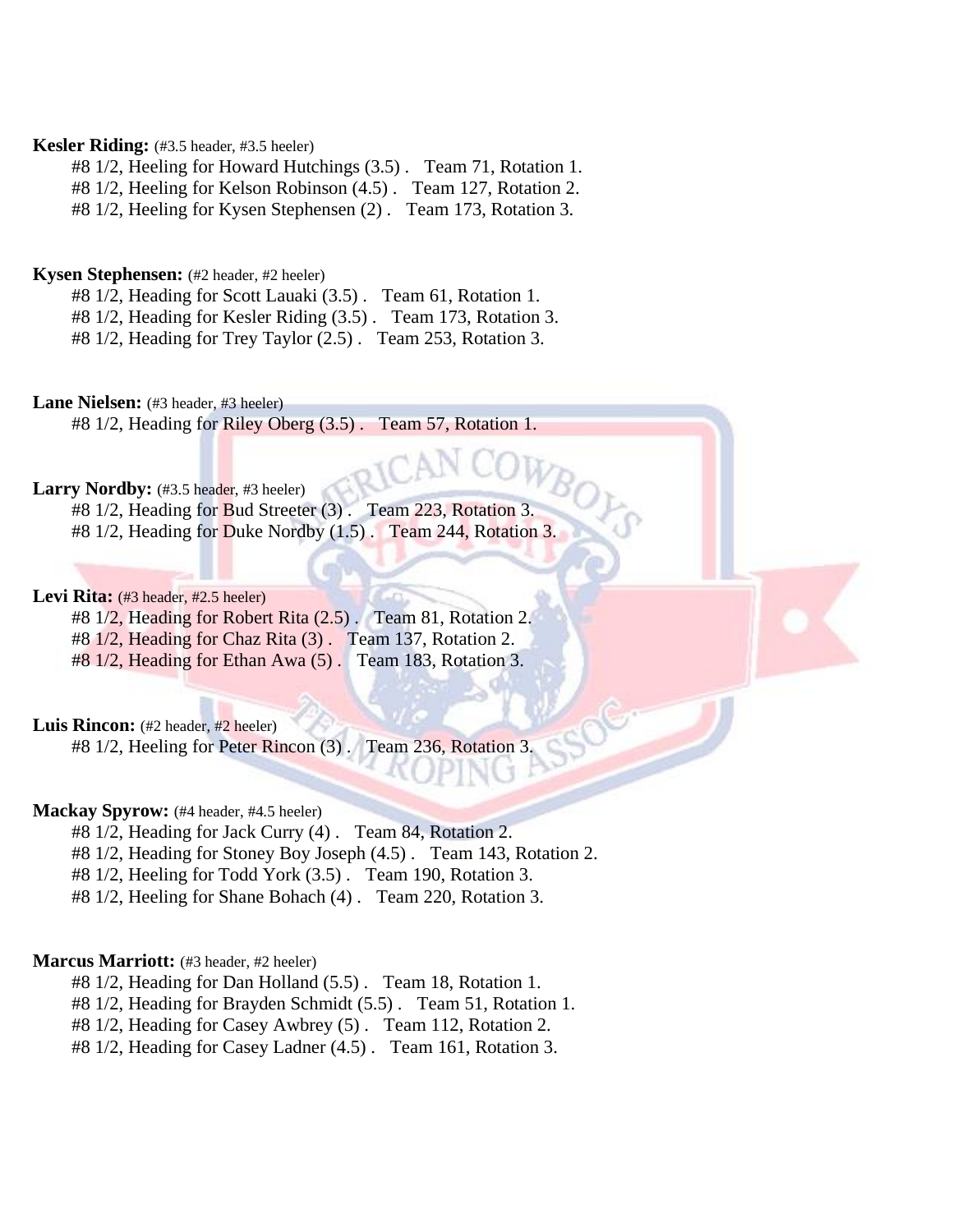#### **Kesler Riding:** (#3.5 header, #3.5 heeler)

#8 1/2, Heeling for Howard Hutchings (3.5) . Team 71, Rotation 1.

#8 1/2, Heeling for Kelson Robinson (4.5) . Team 127, Rotation 2.

#8 1/2, Heeling for Kysen Stephensen (2) . Team 173, Rotation 3.

#### **Kysen Stephensen:** (#2 header, #2 heeler)

#8 1/2, Heading for Scott Lauaki (3.5) . Team 61, Rotation 1.

#8 1/2, Heading for Kesler Riding (3.5) . Team 173, Rotation 3.

#8 1/2, Heading for Trey Taylor (2.5) . Team 253, Rotation 3.

Lane Nielsen: (#3 header, #3 heeler)

#8 1/2, Heading for Riley Oberg (3.5) . Team 57, Rotation 1.

#### Larry Nordby: (#3.5 header, #3 heeler)

#8 1/2, Heading for Bud Streeter (3). Team 223, Rotation 3. #8 1/2, Heading for Duke Nordby (1.5) . Team 244, Rotation 3.

#### Levi Rita: (#3 header, #2.5 heeler)

#8 1/2, Heading for Robert Rita (2.5) . Team 81, Rotation 2. #8 1/2, Heading for Chaz Rita (3) . Team 137, Rotation 2.

#8 1/2, Heading for Ethan Awa (5) . Team 183, Rotation 3.

#### Luis Rincon: (#2 header, #2 heeler)

#8 1/2, Heeling for Peter Rincon (3) . Team 236, Rotation 3.

#### **Mackay Spyrow:** (#4 header, #4.5 heeler)

#8 1/2, Heading for Jack Curry (4) . Team 84, Rotation 2.

#8 1/2, Heading for Stoney Boy Joseph (4.5) . Team 143, Rotation 2.

#8 1/2, Heeling for Todd York (3.5) . Team 190, Rotation 3.

#8 1/2, Heeling for Shane Bohach (4) . Team 220, Rotation 3.

#### **Marcus Marriott:** (#3 header, #2 heeler)

#8 1/2, Heading for Dan Holland (5.5) . Team 18, Rotation 1.

#8 1/2, Heading for Brayden Schmidt (5.5) . Team 51, Rotation 1.

#8 1/2, Heading for Casey Awbrey (5) . Team 112, Rotation 2.

#8 1/2, Heading for Casey Ladner (4.5) . Team 161, Rotation 3.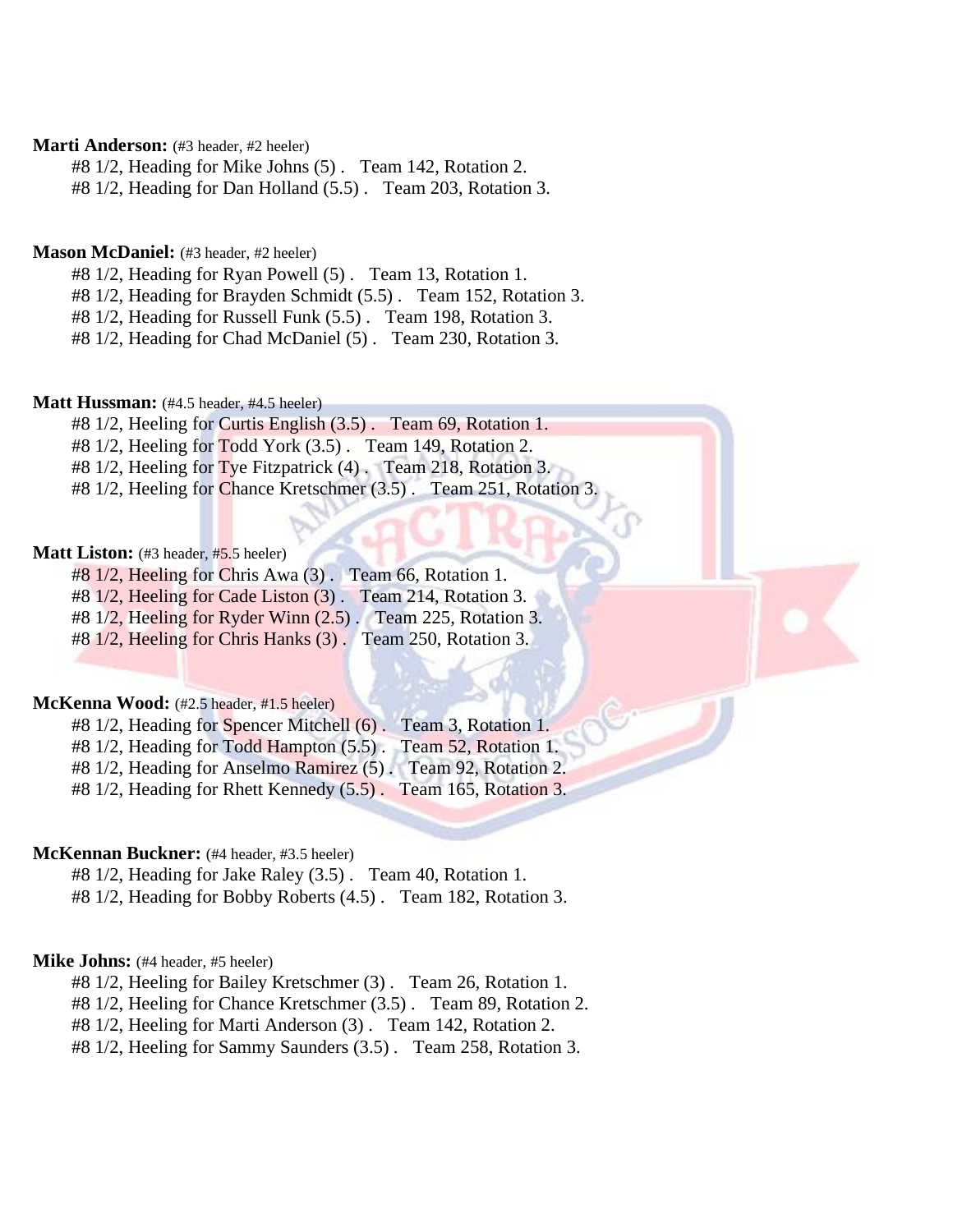#### **Marti Anderson:** (#3 header, #2 heeler)

#8 1/2, Heading for Mike Johns (5) . Team 142, Rotation 2.

#8 1/2, Heading for Dan Holland (5.5) . Team 203, Rotation 3.

#### **Mason McDaniel:** (#3 header, #2 heeler)

#8 1/2, Heading for Ryan Powell (5) . Team 13, Rotation 1.

#8 1/2, Heading for Brayden Schmidt (5.5) . Team 152, Rotation 3.

#8 1/2, Heading for Russell Funk (5.5) . Team 198, Rotation 3.

#8 1/2, Heading for Chad McDaniel (5) . Team 230, Rotation 3.

#### **Matt Hussman:** (#4.5 header, #4.5 heeler)

#8 1/2, Heeling for Curtis English (3.5) . Team 69, Rotation 1.

#8 1/2, Heeling for Todd York (3.5) . Team 149, Rotation 2.

#8 1/2, Heeling for Tye Fitzpatrick (4) . Team 218, Rotation 3.

#8 1/2, Heeling for Chance Kretschmer (3.5) . Team 251, Rotation 3.

#### **Matt Liston:** (#3 header, #5.5 heeler)

#8 1/2, Heeling for Chris Awa (3) . Team 66, Rotation 1. #8 1/2, Heeling for Cade Liston (3) . Team 214, Rotation 3.

#8 1/2, Heeling for Ryder Winn (2.5) . Team 225, Rotation 3.

#8 1/2, Heeling for Chris Hanks (3) . Team 250, Rotation 3.

#### **McKenna Wood:** (#2.5 header, #1.5 heeler)

#8 1/2, Heading for Spencer Mitchell (6) . Team 3, Rotation 1. #8 1/2, Heading for Todd Hampton (5.5). Team 52, Rotation 1. #8 1/2, Heading for Anselmo Ramirez (5) . Team 92, Rotation 2.

#8 1/2, Heading for Rhett Kennedy (5.5) . Team 165, Rotation 3.

#### **McKennan Buckner:** (#4 header, #3.5 heeler)

#8 1/2, Heading for Jake Raley (3.5) . Team 40, Rotation 1.

#8 1/2, Heading for Bobby Roberts (4.5) . Team 182, Rotation 3.

#### **Mike Johns:** (#4 header, #5 heeler)

#8 1/2, Heeling for Bailey Kretschmer (3) . Team 26, Rotation 1.

#8 1/2, Heeling for Chance Kretschmer (3.5) . Team 89, Rotation 2.

#8 1/2, Heeling for Marti Anderson (3) . Team 142, Rotation 2.

#8 1/2, Heeling for Sammy Saunders (3.5) . Team 258, Rotation 3.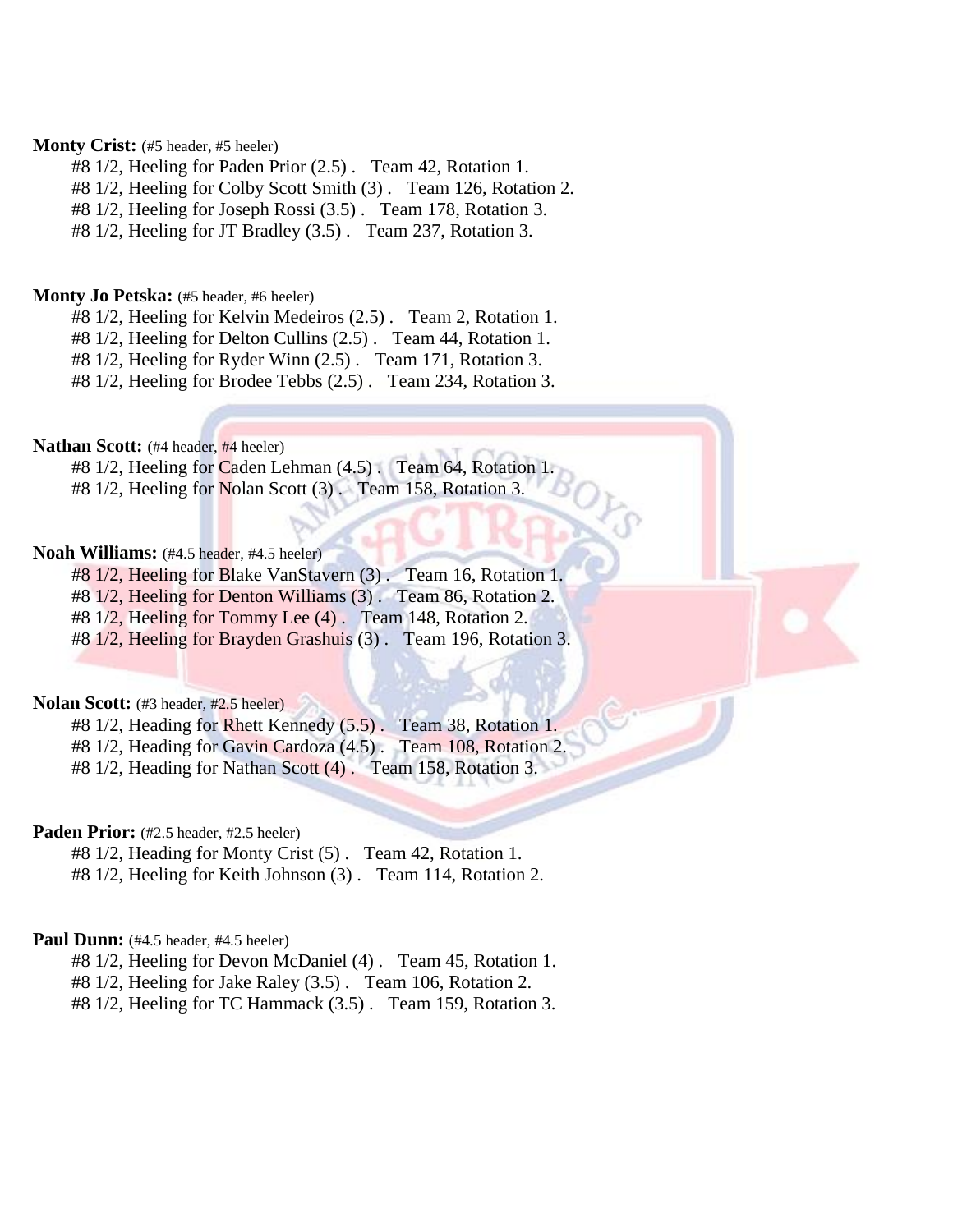#### Monty Crist: (#5 header, #5 heeler)

#8 1/2, Heeling for Paden Prior (2.5) . Team 42, Rotation 1.

#8 1/2, Heeling for Colby Scott Smith (3) . Team 126, Rotation 2.

#8 1/2, Heeling for Joseph Rossi (3.5) . Team 178, Rotation 3.

#8 1/2, Heeling for JT Bradley (3.5) . Team 237, Rotation 3.

#### **Monty Jo Petska:** (#5 header, #6 heeler)

#8 1/2, Heeling for Kelvin Medeiros (2.5) . Team 2, Rotation 1.

#8 1/2, Heeling for Delton Cullins (2.5) . Team 44, Rotation 1.

#8 1/2, Heeling for Ryder Winn (2.5) . Team 171, Rotation 3.

#8 1/2, Heeling for Brodee Tebbs (2.5) . Team 234, Rotation 3.

#### **Nathan Scott:** (#4 header, #4 heeler)

#8 1/2, Heeling for Caden Lehman (4.5). Team 64, Rotation 1.

#8 1/2, Heeling for Nolan Scott (3). Team 158, Rotation 3.

#### **Noah Williams:** (#4.5 header, #4.5 heeler)

#8 1/2, Heeling for Blake VanStavern (3) . Team 16, Rotation 1.

#8 1/2, Heeling for Denton Williams (3) . Team 86, Rotation 2.

#8 1/2, Heeling for Tommy Lee (4) . Team 148, Rotation 2.

#8 1/2, Heeling for Brayden Grashuis (3) . Team 196, Rotation 3.

#### **Nolan Scott:** (#3 header, #2.5 heeler)

#8 1/2, Heading for Rhett Kennedy (5.5) . Team 38, Rotation 1. #8 1/2, Heading for Gavin Cardoza (4.5) . Team 108, Rotation 2.

#8 1/2, Heading for Nathan Scott (4) . Team 158, Rotation 3.

#### Paden Prior: (#2.5 header, #2.5 heeler)

#8 1/2, Heading for Monty Crist (5) . Team 42, Rotation 1.

#8 1/2, Heeling for Keith Johnson (3) . Team 114, Rotation 2.

#### **Paul Dunn:** (#4.5 header, #4.5 heeler)

#8 1/2, Heeling for Devon McDaniel (4) . Team 45, Rotation 1.

#8 1/2, Heeling for Jake Raley (3.5) . Team 106, Rotation 2.

#8 1/2, Heeling for TC Hammack (3.5) . Team 159, Rotation 3.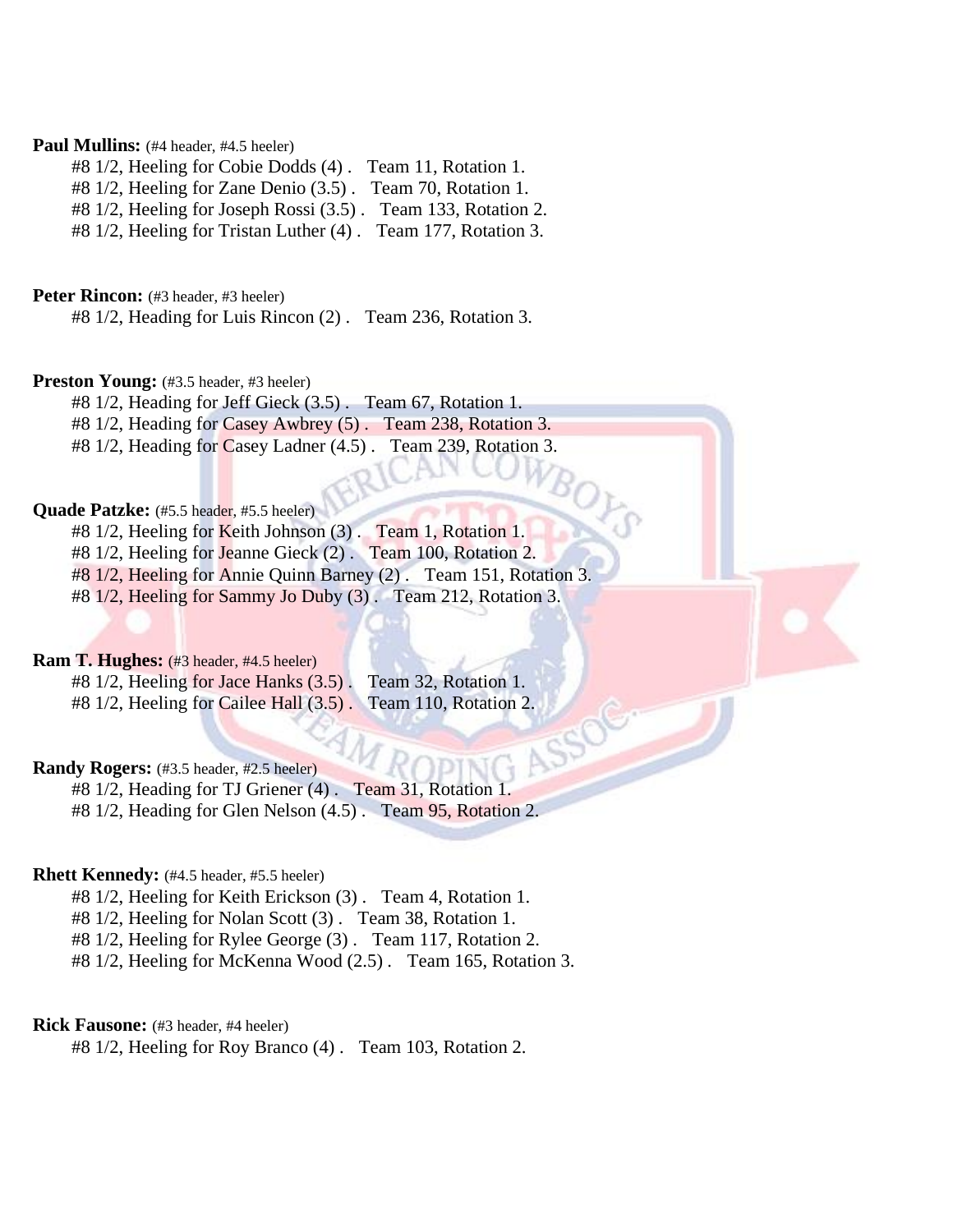#### **Paul Mullins:** (#4 header, #4.5 heeler)

#8 1/2, Heeling for Cobie Dodds (4) . Team 11, Rotation 1.

#8 1/2, Heeling for Zane Denio (3.5) . Team 70, Rotation 1.

#8 1/2, Heeling for Joseph Rossi (3.5) . Team 133, Rotation 2.

#8 1/2, Heeling for Tristan Luther (4) . Team 177, Rotation 3.

**Peter Rincon:** (#3 header, #3 heeler)

#8 1/2, Heading for Luis Rincon (2) . Team 236, Rotation 3.

#### **Preston Young:** (#3.5 header, #3 heeler)

#8 1/2, Heading for Jeff Gieck (3.5) . Team 67, Rotation 1.

#8 1/2, Heading for Casey Awbrey (5) . Team 238, Rotation 3.

#8 1/2, Heading for Casey Ladner (4.5) . Team 239, Rotation 3.

#### Quade Patzke: (#5.5 header, #5.5 heeler)

#8 1/2, Heeling for Keith Johnson (3). Team 1, Rotation 1.

#8 1/2, Heeling for Jeanne Gieck (2) . Team 100, Rotation 2.

#8 1/2, Heeling for Annie Quinn Barney (2) . Team 151, Rotation 3.

#8 1/2, Heeling for Sammy Jo Duby (3) . Team 212, Rotation 3.

#### **Ram T. Hughes:** (#3 header, #4.5 heeler)

#8 1/2, Heeling for Jace Hanks (3.5) . Team 32, Rotation 1. #8 1/2, Heeling for Cailee Hall (3.5). Team 110, Rotation 2.

#### **Randy Rogers:** (#3.5 header, #2.5 heeler)

#8 1/2, Heading for TJ Griener (4) . Team 31, Rotation 1. #8 1/2, Heading for Glen Nelson (4.5) . Team 95, Rotation 2.

#### **Rhett Kennedy:** (#4.5 header, #5.5 heeler)

#8 1/2, Heeling for Keith Erickson (3) . Team 4, Rotation 1.

#8 1/2, Heeling for Nolan Scott (3) . Team 38, Rotation 1.

#8 1/2, Heeling for Rylee George (3) . Team 117, Rotation 2.

#8 1/2, Heeling for McKenna Wood (2.5) . Team 165, Rotation 3.

#### **Rick Fausone:** (#3 header, #4 heeler)

#8 1/2, Heeling for Roy Branco (4) . Team 103, Rotation 2.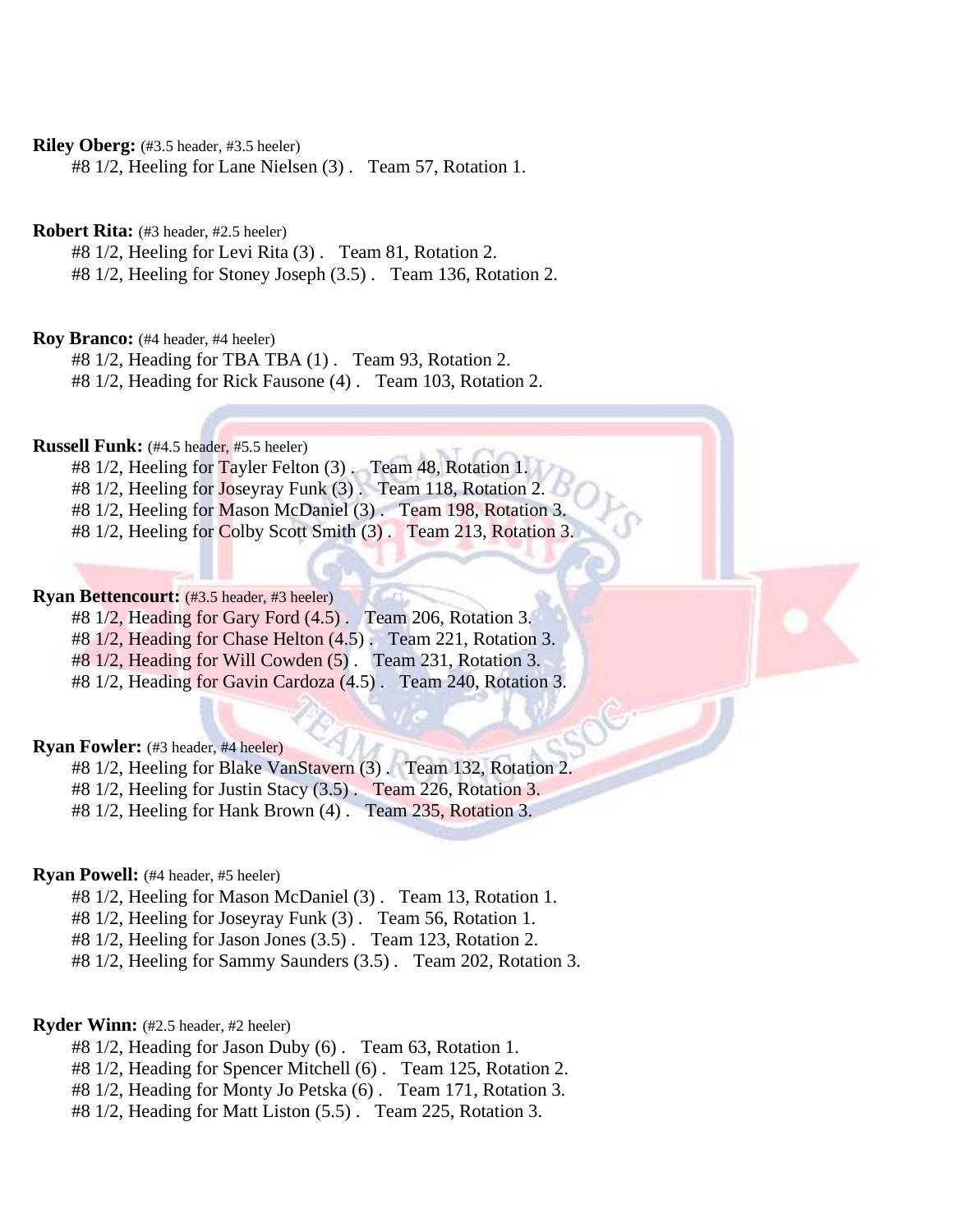**Riley Oberg:** (#3.5 header, #3.5 heeler)

#8 1/2, Heeling for Lane Nielsen (3) . Team 57, Rotation 1.

**Robert Rita:** (#3 header, #2.5 heeler)

#8 1/2, Heeling for Levi Rita (3) . Team 81, Rotation 2.

#8 1/2, Heeling for Stoney Joseph (3.5) . Team 136, Rotation 2.

**Roy Branco:** (#4 header, #4 heeler)

#8 1/2, Heading for TBA TBA (1) . Team 93, Rotation 2.

#8 1/2, Heading for Rick Fausone (4) . Team 103, Rotation 2.

**Russell Funk:** (#4.5 header, #5.5 heeler)

#8 1/2, Heeling for Tayler Felton (3). Team 48, Rotation 1.

#8 1/2, Heeling for Joseyray Funk (3) . Team 118, Rotation 2.

#8 1/2, Heeling for Mason McDaniel (3) . Team 198, Rotation 3.

#8 1/2, Heeling for Colby Scott Smith (3) . Team 213, Rotation 3.

#### **Ryan Bettencourt:** (#3.5 header, #3 heeler)

#8 1/2, Heading for Gary Ford (4.5) . Team 206, Rotation 3.

#8 1/2, Heading for Chase Helton (4.5) . Team 221, Rotation 3.

#8 1/2, Heading for Will Cowden (5) . Team 231, Rotation 3.

#8 1/2, Heading for Gavin Cardoza (4.5) . Team 240, Rotation 3.

#### **Ryan Fowler:** (#3 header, #4 heeler)

#8 1/2, Heeling for Blake VanStavern (3) . Team 132, Rotation 2.

#8 1/2, Heeling for Justin Stacy (3.5) . Team 226, Rotation 3.

#8 1/2, Heeling for Hank Brown (4) . Team 235, Rotation 3.

#### **Ryan Powell:** (#4 header, #5 heeler)

#8 1/2, Heeling for Mason McDaniel (3) . Team 13, Rotation 1.

#8 1/2, Heeling for Joseyray Funk (3) . Team 56, Rotation 1.

#8 1/2, Heeling for Jason Jones (3.5) . Team 123, Rotation 2.

#8 1/2, Heeling for Sammy Saunders (3.5) . Team 202, Rotation 3.

#### **Ryder Winn:** (#2.5 header, #2 heeler)

- #8 1/2, Heading for Jason Duby (6) . Team 63, Rotation 1.
- #8 1/2, Heading for Spencer Mitchell (6) . Team 125, Rotation 2.
- #8 1/2, Heading for Monty Jo Petska (6) . Team 171, Rotation 3.

#8 1/2, Heading for Matt Liston (5.5) . Team 225, Rotation 3.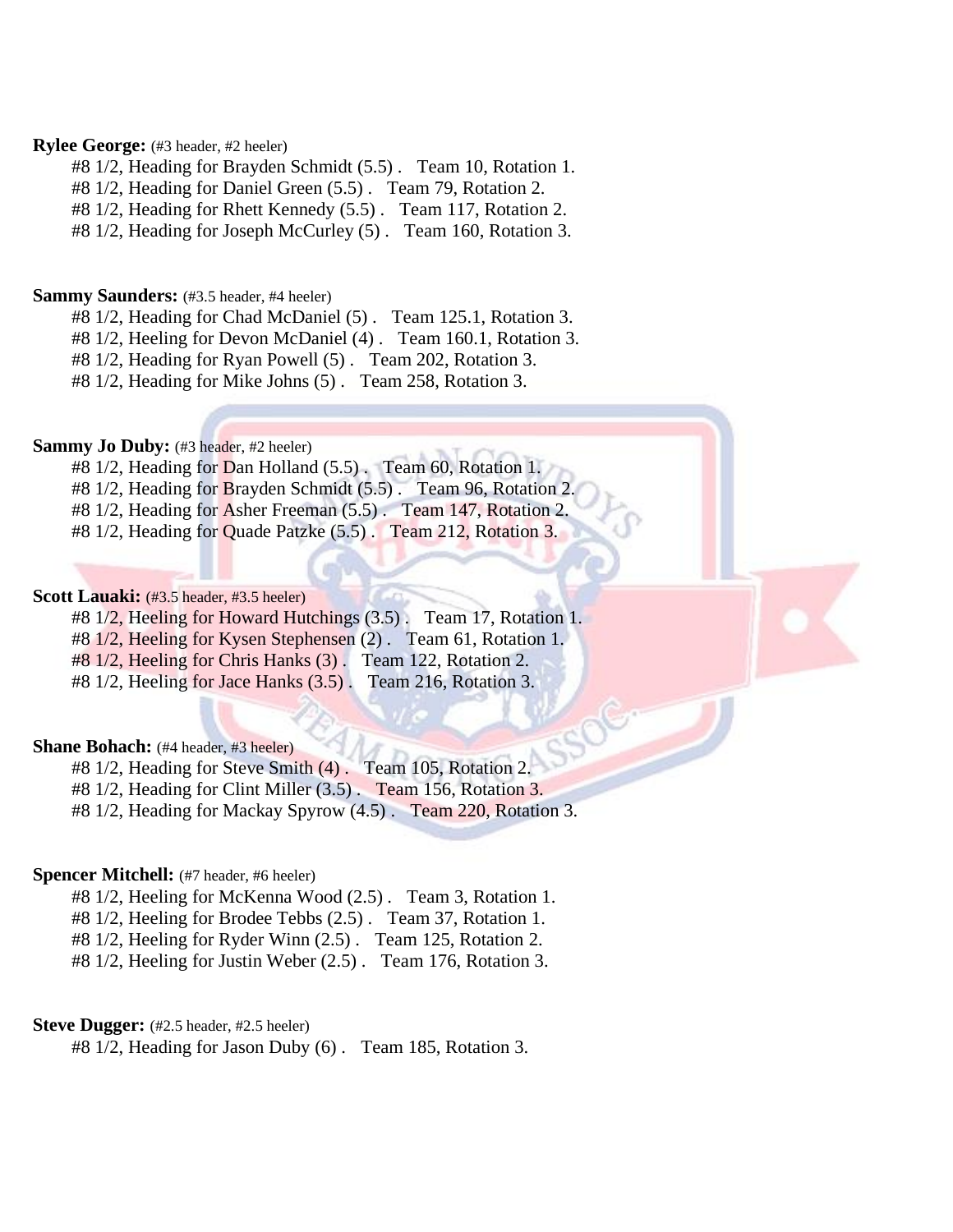#### **Rylee George:** (#3 header, #2 heeler)

#8 1/2, Heading for Brayden Schmidt (5.5) . Team 10, Rotation 1.

#8 1/2, Heading for Daniel Green (5.5) . Team 79, Rotation 2.

#8 1/2, Heading for Rhett Kennedy (5.5) . Team 117, Rotation 2.

#8 1/2, Heading for Joseph McCurley (5) . Team 160, Rotation 3.

#### **Sammy Saunders:** (#3.5 header, #4 heeler)

#8 1/2, Heading for Chad McDaniel (5) . Team 125.1, Rotation 3.

#8 1/2, Heeling for Devon McDaniel (4) . Team 160.1, Rotation 3.

#8 1/2, Heading for Ryan Powell (5) . Team 202, Rotation 3.

#8 1/2, Heading for Mike Johns (5) . Team 258, Rotation 3.

#### **Sammy Jo Duby:** (#3 header, #2 heeler)

#8 1/2, Heading for Dan Holland (5.5) . Team 60, Rotation 1.

#8 1/2, Heading for Brayden Schmidt (5.5). Team 96, Rotation 2.

#8 1/2, Heading for Asher Freeman (5.5) . Team 147, Rotation 2.

#8 1/2, Heading for Quade Patzke (5.5) . Team 212, Rotation 3.

#### **Scott Lauaki:** (#3.5 header, #3.5 heeler)

#8 1/2, Heeling for Howard Hutchings (3.5) . Team 17, Rotation 1.

#8 1/2, Heeling for Kysen Stephensen (2) . Team 61, Rotation 1.

#8 1/2, Heeling for Chris Hanks (3) . Team 122, Rotation 2.

#8 1/2, Heeling for Jace Hanks (3.5) . Team 216, Rotation 3.

#### **Shane Bohach:** (#4 header, #3 heeler)

#8 1/2, Heading for Steve Smith (4) . Team 105, Rotation 2.

#8 1/2, Heading for Clint Miller (3.5) . Team 156, Rotation 3.

#8 1/2, Heading for Mackay Spyrow (4.5) . Team 220, Rotation 3.

#### **Spencer Mitchell:** (#7 header, #6 heeler)

#8 1/2, Heeling for McKenna Wood (2.5) . Team 3, Rotation 1.

#8 1/2, Heeling for Brodee Tebbs (2.5) . Team 37, Rotation 1.

#8 1/2, Heeling for Ryder Winn (2.5) . Team 125, Rotation 2.

#8 1/2, Heeling for Justin Weber (2.5) . Team 176, Rotation 3.

#### Steve Dugger: (#2.5 header, #2.5 heeler)

#8 1/2, Heading for Jason Duby (6) . Team 185, Rotation 3.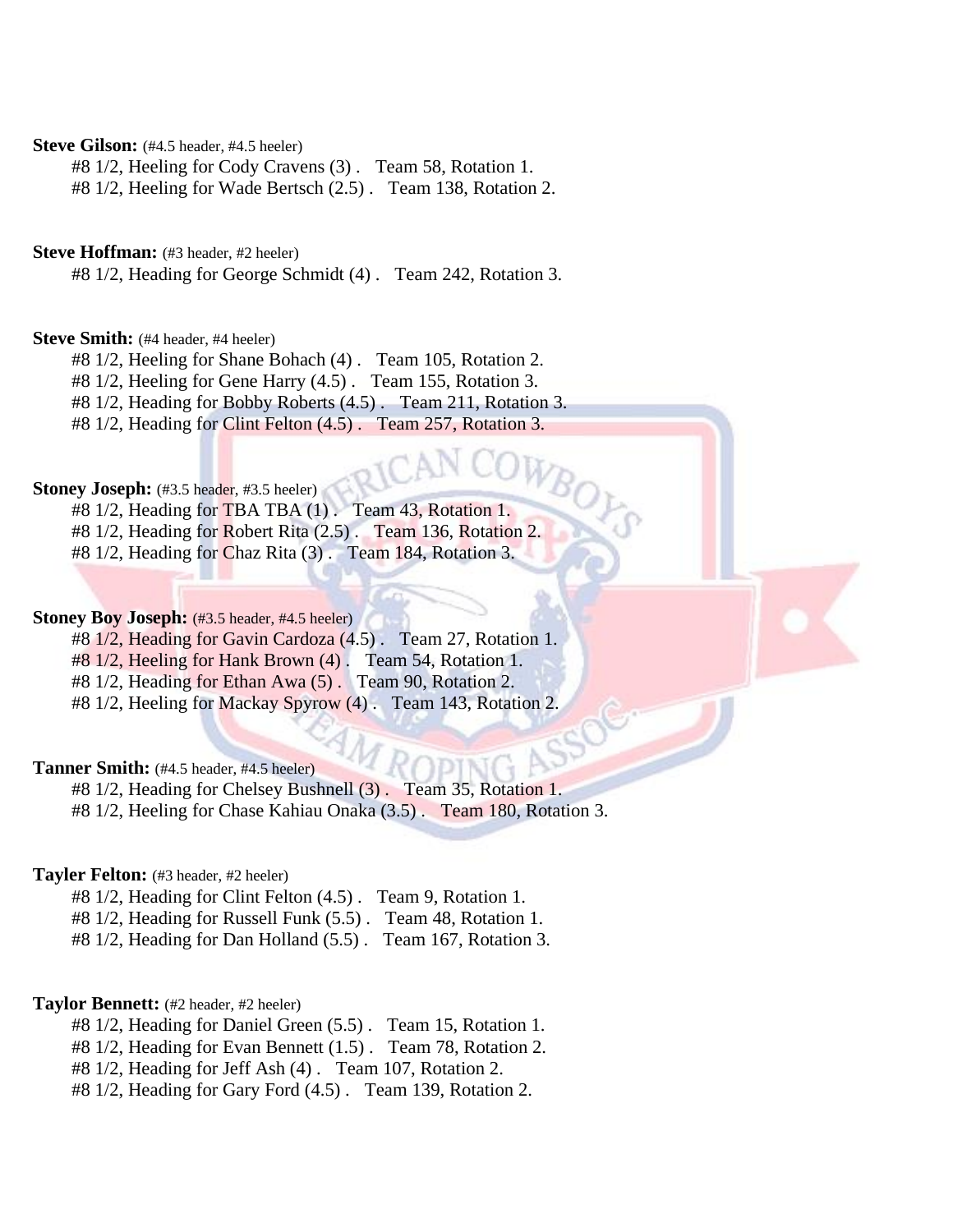#### Steve Gilson: (#4.5 header, #4.5 heeler)

#8 1/2, Heeling for Cody Cravens (3) . Team 58, Rotation 1.

#8 1/2, Heeling for Wade Bertsch (2.5) . Team 138, Rotation 2.

#### **Steve Hoffman:** (#3 header, #2 heeler)

#8 1/2, Heading for George Schmidt (4) . Team 242, Rotation 3.

#### **Steve Smith:** (#4 header, #4 heeler)

#8 1/2, Heeling for Shane Bohach (4) . Team 105, Rotation 2.

#8 1/2, Heeling for Gene Harry (4.5) . Team 155, Rotation 3.

#8 1/2, Heading for Bobby Roberts (4.5) . Team 211, Rotation 3.

#8 1/2, Heading for Clint Felton (4.5) . Team 257, Rotation 3.

## **Stoney Joseph:** (#3.5 header, #3.5 heeler)

#8 1/2, Heading for TBA TBA (1) . Team 43, Rotation 1. #8 1/2, Heading for Robert Rita (2.5) . Team 136, Rotation 2.

#8 1/2, Heading for Chaz Rita (3) . Team 184, Rotation 3.

#### **Stoney Boy Joseph:** (#3.5 header, #4.5 heeler)

#8 1/2, Heading for Gavin Cardoza (4.5) . Team 27, Rotation 1.

#8 1/2, Heeling for Hank Brown (4) . Team 54, Rotation 1.

#8 1/2, Heading for Ethan Awa (5) . Team 90, Rotation 2.

#8 1/2, Heeling for Mackay Spyrow (4) . Team 143, Rotation 2.

#### Tanner Smith: (#4.5 header, #4.5 heeler)

#8 1/2, Heading for Chelsey Bushnell (3) . Team 35, Rotation 1. #8 1/2, Heeling for Chase Kahiau Onaka (3.5) . Team 180, Rotation 3.

# **Tayler Felton:** (#3 header, #2 heeler)

#8 1/2, Heading for Clint Felton (4.5) . Team 9, Rotation 1.

#8 1/2, Heading for Russell Funk (5.5) . Team 48, Rotation 1.

#8 1/2, Heading for Dan Holland (5.5) . Team 167, Rotation 3.

#### **Taylor Bennett:** (#2 header, #2 heeler)

- #8 1/2, Heading for Daniel Green (5.5) . Team 15, Rotation 1.
- #8 1/2, Heading for Evan Bennett (1.5) . Team 78, Rotation 2.

#8 1/2, Heading for Jeff Ash (4) . Team 107, Rotation 2.

#8 1/2, Heading for Gary Ford (4.5) . Team 139, Rotation 2.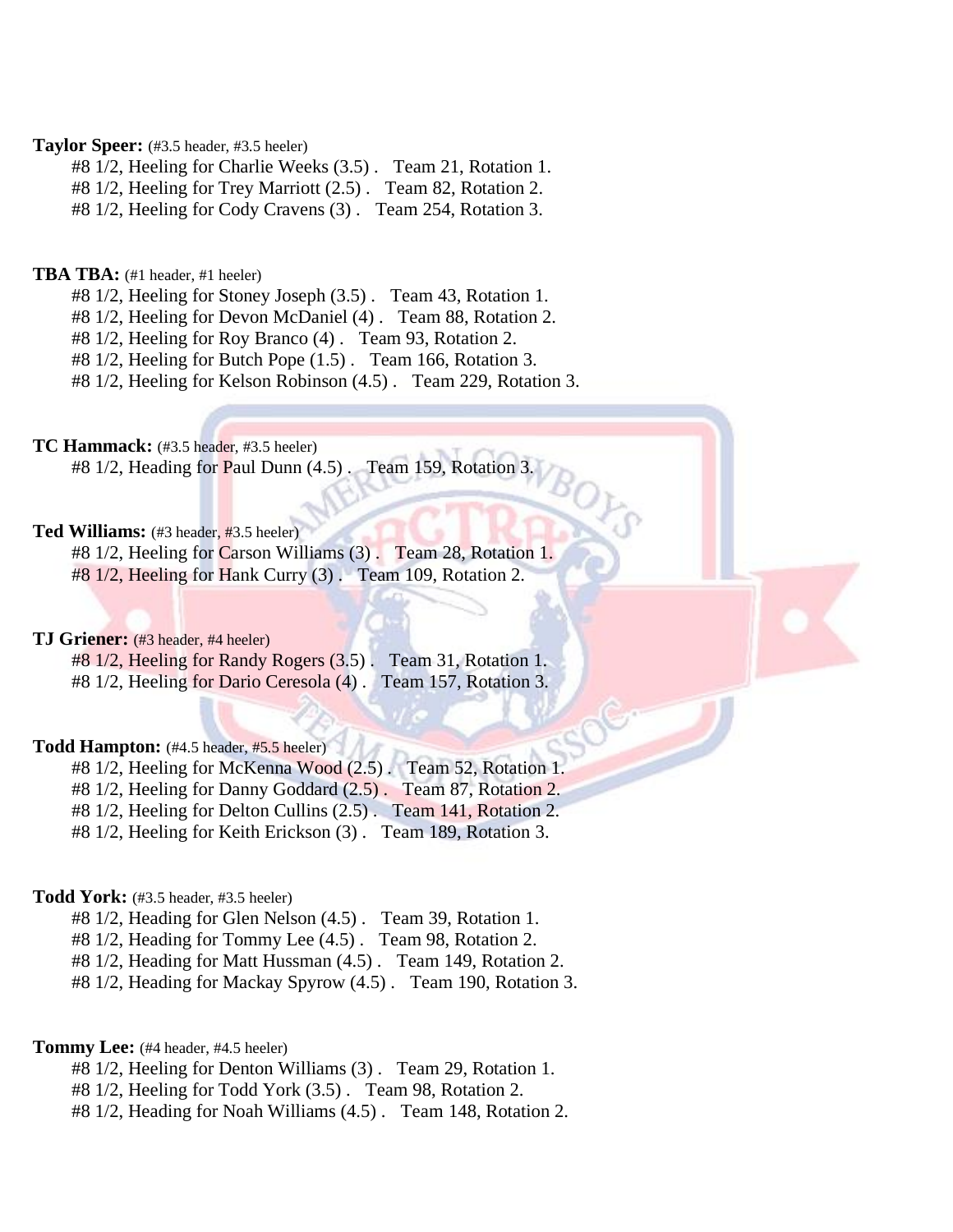#### **Taylor Speer:** (#3.5 header, #3.5 heeler)

#8 1/2, Heeling for Charlie Weeks (3.5) . Team 21, Rotation 1.

#8 1/2, Heeling for Trey Marriott (2.5) . Team 82, Rotation 2.

#8 1/2, Heeling for Cody Cravens (3) . Team 254, Rotation 3.

#### **TBA TBA:** (#1 header, #1 heeler)

#8 1/2, Heeling for Stoney Joseph (3.5) . Team 43, Rotation 1.

#8 1/2, Heeling for Devon McDaniel (4) . Team 88, Rotation 2.

#8 1/2, Heeling for Roy Branco (4) . Team 93, Rotation 2.

#8 1/2, Heeling for Butch Pope (1.5) . Team 166, Rotation 3.

#8 1/2, Heeling for Kelson Robinson (4.5) . Team 229, Rotation 3.

**TC Hammack:** (#3.5 header, #3.5 heeler)

 $#8 1/2$ , Heading for Paul Dunn  $(4.5)$ . Team 159, Rotation 3.

#### **Ted Williams:** (#3 header, #3.5 heeler)

#8 1/2, Heeling for Carson Williams (3) . Team 28, Rotation 1.

#8 1/2, Heeling for Hank Curry (3) . Team 109, Rotation 2.

#### **TJ Griener:** (#3 header, #4 heeler)

#8 1/2, Heeling for Randy Rogers (3.5) . Team 31, Rotation 1. #8 1/2, Heeling for Dario Ceresola (4) . Team 157, Rotation 3.

#### **Todd Hampton:** (#4.5 header, #5.5 heeler)

#8 1/2, Heeling for McKenna Wood (2.5) . Team 52, Rotation 1.

#8 1/2, Heeling for Danny Goddard (2.5) . Team 87, Rotation 2.

#8 1/2, Heeling for Delton Cullins (2.5) . Team 141, Rotation 2.

#8 1/2, Heeling for Keith Erickson (3) . Team 189, Rotation 3.

#### **Todd York:** (#3.5 header, #3.5 heeler)

#8 1/2, Heading for Glen Nelson (4.5) . Team 39, Rotation 1.

#8 1/2, Heading for Tommy Lee (4.5) . Team 98, Rotation 2.

#8 1/2, Heading for Matt Hussman (4.5) . Team 149, Rotation 2.

#8 1/2, Heading for Mackay Spyrow (4.5) . Team 190, Rotation 3.

#### **Tommy Lee:** (#4 header, #4.5 heeler)

- #8 1/2, Heeling for Denton Williams (3) . Team 29, Rotation 1.
- #8 1/2, Heeling for Todd York (3.5) . Team 98, Rotation 2.
- #8 1/2, Heading for Noah Williams (4.5) . Team 148, Rotation 2.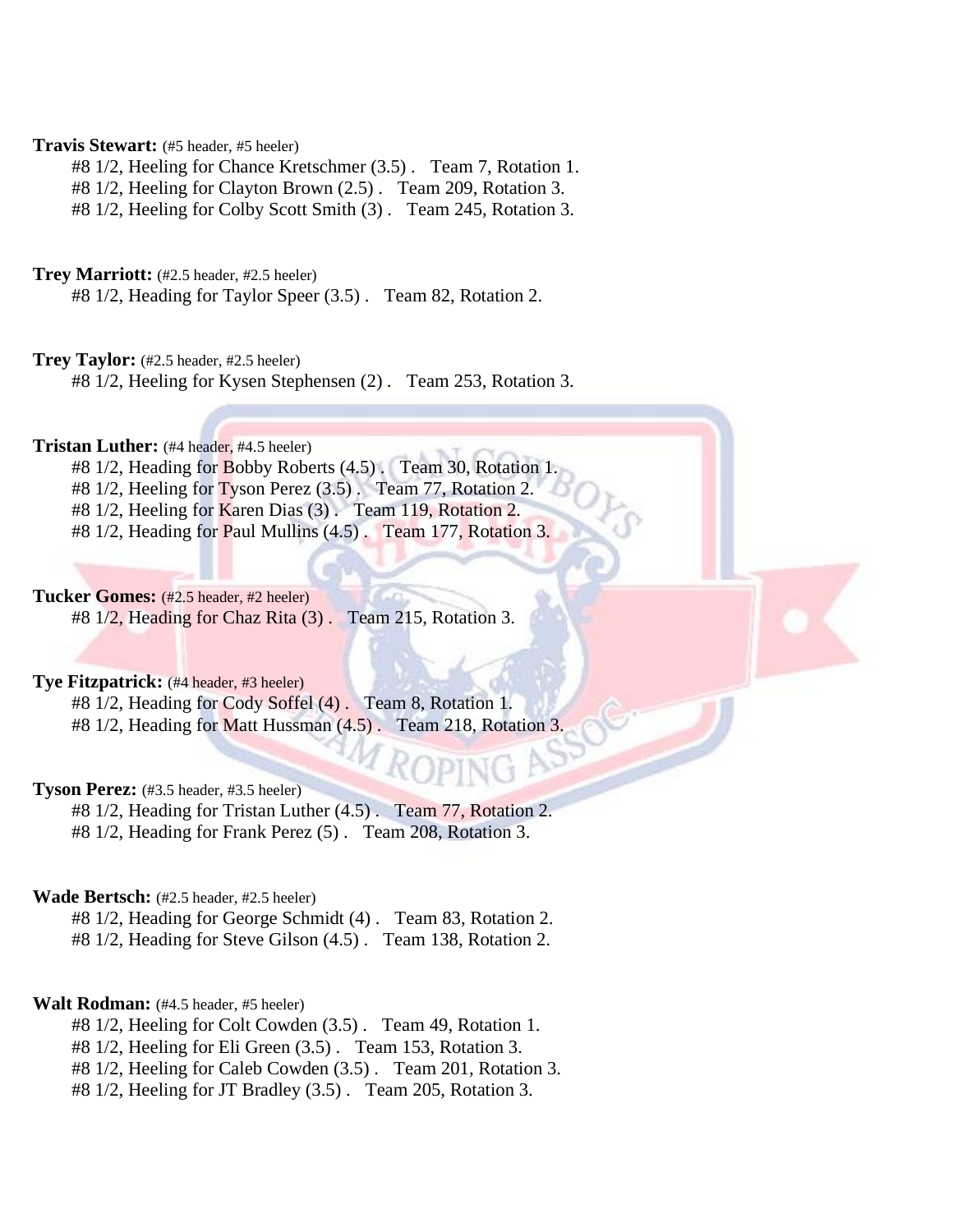#### **Travis Stewart:** (#5 header, #5 heeler)

#8 1/2, Heeling for Chance Kretschmer (3.5) . Team 7, Rotation 1.

#8 1/2, Heeling for Clayton Brown (2.5) . Team 209, Rotation 3.

#8 1/2, Heeling for Colby Scott Smith (3) . Team 245, Rotation 3.

#### **Trey Marriott:** (#2.5 header, #2.5 heeler)

#8 1/2, Heading for Taylor Speer (3.5) . Team 82, Rotation 2.

#### **Trey Taylor:** (#2.5 header, #2.5 heeler)

#8 1/2, Heeling for Kysen Stephensen (2) . Team 253, Rotation 3.

## **Tristan Luther:** (#4 header, #4.5 heeler)

- #8 1/2, Heading for Bobby Roberts (4.5). Team 30, Rotation 1.
- $#8\ 1/2$ , Heeling for Tyson Perez (3.5). Team 77, Rotation 2.
- #8 1/2, Heeling for Karen Dias (3). Team 119, Rotation 2.
- #8 1/2, Heading for Paul Mullins (4.5) . Team 177, Rotation 3.

#### **Tucker Gomes:** (#2.5 header, #2 heeler)

#8 1/2, Heading for Chaz Rita (3) . Team 215, Rotation 3.

#### **Tye Fitzpatrick:** (#4 header, #3 heeler)

#8 1/2, Heading for Cody Soffel (4) . Team 8, Rotation 1. #8 1/2, Heading for Matt Hussman (4.5) . Team 218, Rotation 3.

#### **Tyson Perez:** (#3.5 header, #3.5 heeler)

#8 1/2, Heading for Tristan Luther (4.5) . Team 77, Rotation 2. #8 1/2, Heading for Frank Perez (5) . Team 208, Rotation 3.

#### **Wade Bertsch:** (#2.5 header, #2.5 heeler)

#8 1/2, Heading for George Schmidt (4) . Team 83, Rotation 2. #8 1/2, Heading for Steve Gilson (4.5) . Team 138, Rotation 2.

#### **Walt Rodman:** (#4.5 header, #5 heeler)

#8 1/2, Heeling for Colt Cowden (3.5) . Team 49, Rotation 1.

#8 1/2, Heeling for Eli Green (3.5) . Team 153, Rotation 3.

- #8 1/2, Heeling for Caleb Cowden (3.5) . Team 201, Rotation 3.
- #8 1/2, Heeling for JT Bradley (3.5) . Team 205, Rotation 3.